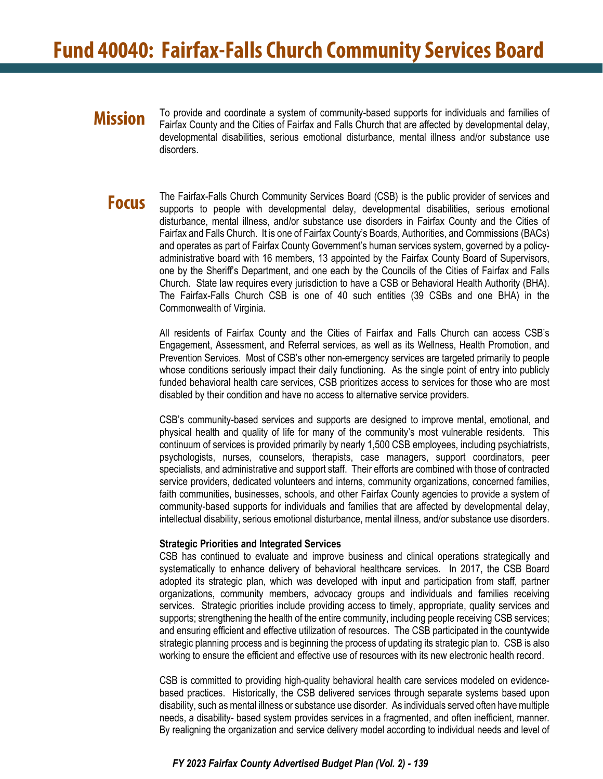# **Mission**

To provide and coordinate a system of community-based supports for individuals and families of Fairfax County and the Cities of Fairfax and Falls Church that are affected by developmental delay, developmental disabilities, serious emotional disturbance, mental illness and/or substance use disorders.

## **Focus**

The Fairfax-Falls Church Community Services Board (CSB) is the public provider of services and supports to people with developmental delay, developmental disabilities, serious emotional disturbance, mental illness, and/or substance use disorders in Fairfax County and the Cities of Fairfax and Falls Church. It is one of Fairfax County's Boards, Authorities, and Commissions (BACs) and operates as part of Fairfax County Government's human services system, governed by a policyadministrative board with 16 members, 13 appointed by the Fairfax County Board of Supervisors, one by the Sheriff's Department, and one each by the Councils of the Cities of Fairfax and Falls Church. State law requires every jurisdiction to have a CSB or Behavioral Health Authority (BHA). The Fairfax-Falls Church CSB is one of 40 such entities (39 CSBs and one BHA) in the Commonwealth of Virginia.

All residents of Fairfax County and the Cities of Fairfax and Falls Church can access CSB's Engagement, Assessment, and Referral services, as well as its Wellness, Health Promotion, and Prevention Services. Most of CSB's other non-emergency services are targeted primarily to people whose conditions seriously impact their daily functioning. As the single point of entry into publicly funded behavioral health care services, CSB prioritizes access to services for those who are most disabled by their condition and have no access to alternative service providers.

CSB's community-based services and supports are designed to improve mental, emotional, and physical health and quality of life for many of the community's most vulnerable residents. This continuum of services is provided primarily by nearly 1,500 CSB employees, including psychiatrists, psychologists, nurses, counselors, therapists, case managers, support coordinators, peer specialists, and administrative and support staff. Their efforts are combined with those of contracted service providers, dedicated volunteers and interns, community organizations, concerned families, faith communities, businesses, schools, and other Fairfax County agencies to provide a system of community-based supports for individuals and families that are affected by developmental delay, intellectual disability, serious emotional disturbance, mental illness, and/or substance use disorders.

### **Strategic Priorities and Integrated Services**

CSB has continued to evaluate and improve business and clinical operations strategically and systematically to enhance delivery of behavioral healthcare services. In 2017, the CSB Board adopted its strategic plan, which was developed with input and participation from staff, partner organizations, community members, advocacy groups and individuals and families receiving services. Strategic priorities include providing access to timely, appropriate, quality services and supports; strengthening the health of the entire community, including people receiving CSB services; and ensuring efficient and effective utilization of resources. The CSB participated in the countywide strategic planning process and is beginning the process of updating its strategic plan to. CSB is also working to ensure the efficient and effective use of resources with its new electronic health record.

CSB is committed to providing high-quality behavioral health care services modeled on evidencebased practices. Historically, the CSB delivered services through separate systems based upon disability, such as mental illness or substance use disorder. As individuals served often have multiple needs, a disability- based system provides services in a fragmented, and often inefficient, manner. By realigning the organization and service delivery model according to individual needs and level of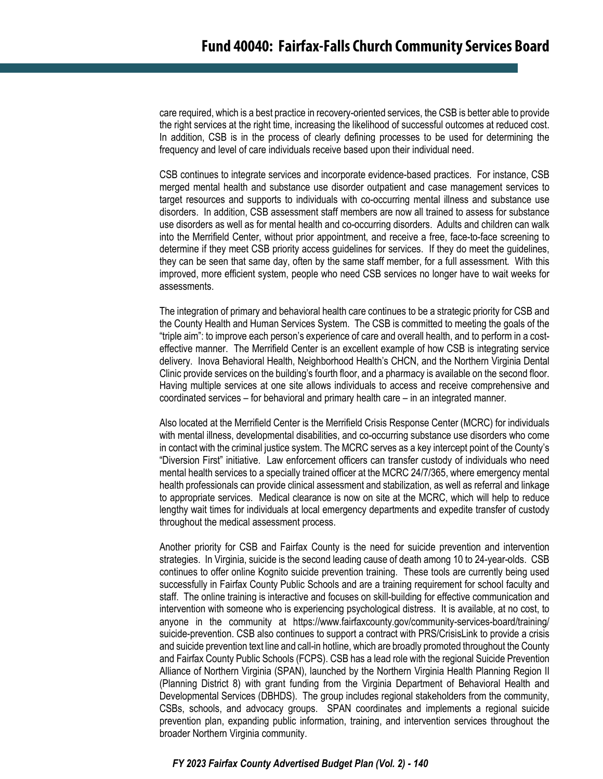care required, which is a best practice in recovery-oriented services, the CSB is better able to provide the right services at the right time, increasing the likelihood of successful outcomes at reduced cost. In addition, CSB is in the process of clearly defining processes to be used for determining the frequency and level of care individuals receive based upon their individual need.

CSB continues to integrate services and incorporate evidence-based practices. For instance, CSB merged mental health and substance use disorder outpatient and case management services to target resources and supports to individuals with co-occurring mental illness and substance use disorders. In addition, CSB assessment staff members are now all trained to assess for substance use disorders as well as for mental health and co-occurring disorders. Adults and children can walk into the Merrifield Center, without prior appointment, and receive a free, face-to-face screening to determine if they meet CSB priority access guidelines for services. If they do meet the guidelines, they can be seen that same day, often by the same staff member, for a full assessment. With this improved, more efficient system, people who need CSB services no longer have to wait weeks for assessments.

The integration of primary and behavioral health care continues to be a strategic priority for CSB and the County Health and Human Services System. The CSB is committed to meeting the goals of the "triple aim": to improve each person's experience of care and overall health, and to perform in a costeffective manner. The Merrifield Center is an excellent example of how CSB is integrating service delivery. Inova Behavioral Health, Neighborhood Health's CHCN, and the Northern Virginia Dental Clinic provide services on the building's fourth floor, and a pharmacy is available on the second floor. Having multiple services at one site allows individuals to access and receive comprehensive and coordinated services – for behavioral and primary health care – in an integrated manner.

Also located at the Merrifield Center is the Merrifield Crisis Response Center (MCRC) for individuals with mental illness, developmental disabilities, and co-occurring substance use disorders who come in contact with the criminal justice system. The MCRC serves as a key intercept point of the County's "Diversion First" initiative. Law enforcement officers can transfer custody of individuals who need mental health services to a specially trained officer at the MCRC 24/7/365, where emergency mental health professionals can provide clinical assessment and stabilization, as well as referral and linkage to appropriate services. Medical clearance is now on site at the MCRC, which will help to reduce lengthy wait times for individuals at local emergency departments and expedite transfer of custody throughout the medical assessment process.

Another priority for CSB and Fairfax County is the need for suicide prevention and intervention strategies. In Virginia, suicide is the second leading cause of death among 10 to 24-year-olds. CSB continues to offer online Kognito suicide prevention training. These tools are currently being used successfully in Fairfax County Public Schools and are a training requirement for school faculty and staff. The online training is interactive and focuses on skill-building for effective communication and intervention with someone who is experiencing psychological distress. It is available, at no cost, to anyone in the community at [https://www.fairfaxcounty.gov/community-services-board/training/](https://www.fairfaxcounty.gov/community-services-board/training/suicide-prevention)  [suicide-prevention.](https://www.fairfaxcounty.gov/community-services-board/training/suicide-prevention) CSB also continues to support a contract with PRS/CrisisLink to provide a crisis and suicide prevention text line and call-in hotline, which are broadly promoted throughout the County and Fairfax County Public Schools (FCPS). CSB has a lead role with the regional Suicide Prevention Alliance of Northern Virginia (SPAN), launched by the Northern Virginia Health Planning Region II (Planning District 8) with grant funding from the Virginia Department of Behavioral Health and Developmental Services (DBHDS). The group includes regional stakeholders from the community, CSBs, schools, and advocacy groups. SPAN coordinates and implements a regional suicide prevention plan, expanding public information, training, and intervention services throughout the broader Northern Virginia community.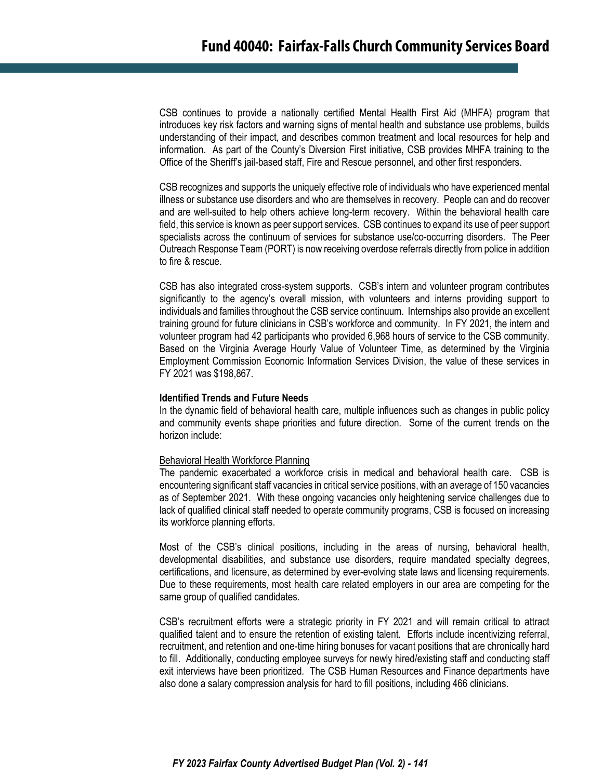CSB continues to provide a nationally certified Mental Health First Aid (MHFA) program that introduces key risk factors and warning signs of mental health and substance use problems, builds understanding of their impact, and describes common treatment and local resources for help and information. As part of the County's Diversion First initiative, CSB provides MHFA training to the Office of the Sheriff's jail-based staff, Fire and Rescue personnel, and other first responders.

CSB recognizes and supports the uniquely effective role of individuals who have experienced mental illness or substance use disorders and who are themselves in recovery. People can and do recover and are well-suited to help others achieve long-term recovery. Within the behavioral health care field, this service is known as peer support services. CSB continues to expand its use of peer support specialists across the continuum of services for substance use/co-occurring disorders. The Peer Outreach Response Team (PORT) is now receiving overdose referrals directly from police in addition to fire & rescue.

CSB has also integrated cross-system supports. CSB's intern and volunteer program contributes significantly to the agency's overall mission, with volunteers and interns providing support to individuals and families throughout the CSB service continuum. Internships also provide an excellent training ground for future clinicians in CSB's workforce and community. In FY 2021, the intern and volunteer program had 42 participants who provided 6,968 hours of service to the CSB community. Based on the Virginia Average Hourly Value of Volunteer Time, as determined by the Virginia Employment Commission Economic Information Services Division, the value of these services in FY 2021 was \$198,867.

#### **Identified Trends and Future Needs**

In the dynamic field of behavioral health care, multiple influences such as changes in public policy and community events shape priorities and future direction. Some of the current trends on the horizon include:

#### Behavioral Health Workforce Planning

The pandemic exacerbated a workforce crisis in medical and behavioral health care. CSB is encountering significant staff vacancies in critical service positions, with an average of 150 vacancies as of September 2021. With these ongoing vacancies only heightening service challenges due to lack of qualified clinical staff needed to operate community programs, CSB is focused on increasing its workforce planning efforts.

Most of the CSB's clinical positions, including in the areas of nursing, behavioral health, developmental disabilities, and substance use disorders, require mandated specialty degrees, certifications, and licensure, as determined by ever-evolving state laws and licensing requirements. Due to these requirements, most health care related employers in our area are competing for the same group of qualified candidates.

CSB's recruitment efforts were a strategic priority in FY 2021 and will remain critical to attract qualified talent and to ensure the retention of existing talent. Efforts include incentivizing referral, recruitment, and retention and one-time hiring bonuses for vacant positions that are chronically hard to fill. Additionally, conducting employee surveys for newly hired/existing staff and conducting staff exit interviews have been prioritized. The CSB Human Resources and Finance departments have also done a salary compression analysis for hard to fill positions, including 466 clinicians.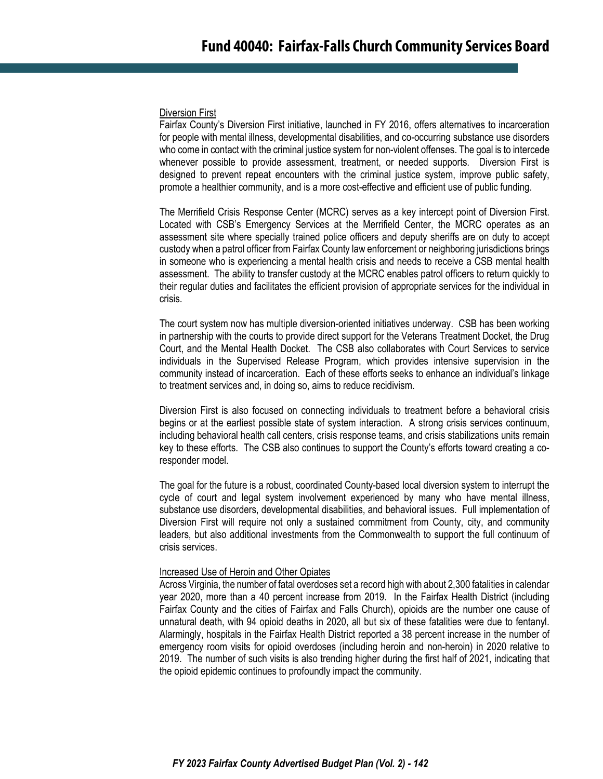#### Diversion First

Fairfax County's Diversion First initiative, launched in FY 2016, offers alternatives to incarceration for people with mental illness, developmental disabilities, and co-occurring substance use disorders who come in contact with the criminal justice system for non-violent offenses. The goal is to intercede whenever possible to provide assessment, treatment, or needed supports. Diversion First is designed to prevent repeat encounters with the criminal justice system, improve public safety, promote a healthier community, and is a more cost-effective and efficient use of public funding.

The Merrifield Crisis Response Center (MCRC) serves as a key intercept point of Diversion First. Located with CSB's Emergency Services at the Merrifield Center, the MCRC operates as an assessment site where specially trained police officers and deputy sheriffs are on duty to accept custody when a patrol officer from Fairfax County law enforcement or neighboring jurisdictions brings in someone who is experiencing a mental health crisis and needs to receive a CSB mental health assessment. The ability to transfer custody at the MCRC enables patrol officers to return quickly to their regular duties and facilitates the efficient provision of appropriate services for the individual in crisis.

The court system now has multiple diversion-oriented initiatives underway. CSB has been working in partnership with the courts to provide direct support for the Veterans Treatment Docket, the Drug Court, and the Mental Health Docket. The CSB also collaborates with Court Services to service individuals in the Supervised Release Program, which provides intensive supervision in the community instead of incarceration. Each of these efforts seeks to enhance an individual's linkage to treatment services and, in doing so, aims to reduce recidivism.

Diversion First is also focused on connecting individuals to treatment before a behavioral crisis begins or at the earliest possible state of system interaction. A strong crisis services continuum, including behavioral health call centers, crisis response teams, and crisis stabilizations units remain key to these efforts. The CSB also continues to support the County's efforts toward creating a coresponder model.

The goal for the future is a robust, coordinated County-based local diversion system to interrupt the cycle of court and legal system involvement experienced by many who have mental illness, substance use disorders, developmental disabilities, and behavioral issues. Full implementation of Diversion First will require not only a sustained commitment from County, city, and community leaders, but also additional investments from the Commonwealth to support the full continuum of crisis services.

#### Increased Use of Heroin and Other Opiates

Across Virginia, the number of fatal overdoses set a record high with about 2,300 fatalities in calendar year 2020, more than a 40 percent increase from 2019. In the Fairfax Health District (including Fairfax County and the cities of Fairfax and Falls Church), opioids are the number one cause of unnatural death, with 94 opioid deaths in 2020, all but six of these fatalities were due to fentanyl. Alarmingly, hospitals in the Fairfax Health District reported a 38 percent increase in the number of emergency room visits for opioid overdoses (including heroin and non-heroin) in 2020 relative to 2019. The number of such visits is also trending higher during the first half of 2021, indicating that the opioid epidemic continues to profoundly impact the community.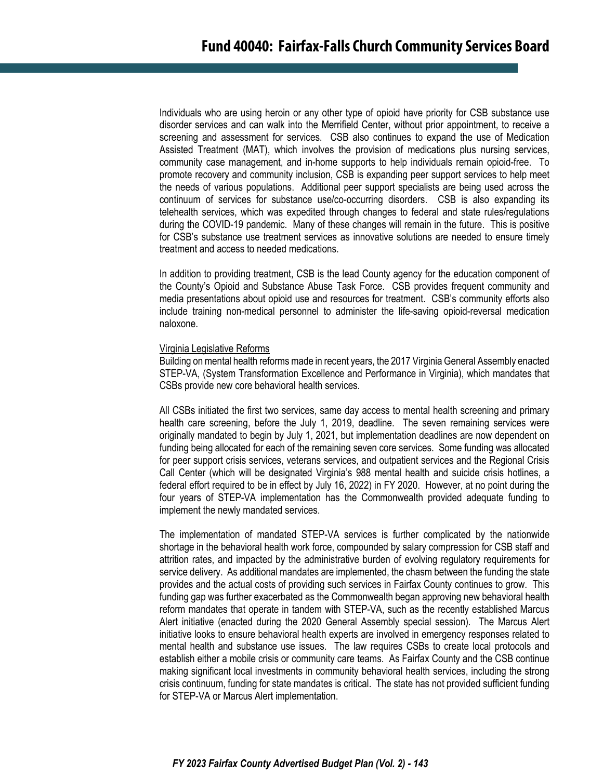Individuals who are using heroin or any other type of opioid have priority for CSB substance use disorder services and can walk into the Merrifield Center, without prior appointment, to receive a screening and assessment for services. CSB also continues to expand the use of Medication Assisted Treatment (MAT), which involves the provision of medications plus nursing services, community case management, and in-home supports to help individuals remain opioid-free. To promote recovery and community inclusion, CSB is expanding peer support services to help meet the needs of various populations. Additional peer support specialists are being used across the continuum of services for substance use/co-occurring disorders. CSB is also expanding its telehealth services, which was expedited through changes to federal and state rules/regulations during the COVID-19 pandemic. Many of these changes will remain in the future. This is positive for CSB's substance use treatment services as innovative solutions are needed to ensure timely treatment and access to needed medications.

In addition to providing treatment, CSB is the lead County agency for the education component of the County's Opioid and Substance Abuse Task Force. CSB provides frequent community and media presentations about opioid use and resources for treatment. CSB's community efforts also include training non-medical personnel to administer the life-saving opioid-reversal medication naloxone.

#### Virginia Legislative Reforms

Building on mental health reforms made in recent years, the 2017 Virginia General Assembly enacted STEP-VA, (System Transformation Excellence and Performance in Virginia), which mandates that CSBs provide new core behavioral health services.

All CSBs initiated the first two services, same day access to mental health screening and primary health care screening, before the July 1, 2019, deadline. The seven remaining services were originally mandated to begin by July 1, 2021, but implementation deadlines are now dependent on funding being allocated for each of the remaining seven core services. Some funding was allocated for peer support crisis services, veterans services, and outpatient services and the Regional Crisis Call Center (which will be designated Virginia's 988 mental health and suicide crisis hotlines, a federal effort required to be in effect by July 16, 2022) in FY 2020. However, at no point during the four years of STEP-VA implementation has the Commonwealth provided adequate funding to implement the newly mandated services.

The implementation of mandated STEP-VA services is further complicated by the nationwide shortage in the behavioral health work force, compounded by salary compression for CSB staff and attrition rates, and impacted by the administrative burden of evolving regulatory requirements for service delivery. As additional mandates are implemented, the chasm between the funding the state provides and the actual costs of providing such services in Fairfax County continues to grow. This funding gap was further exacerbated as the Commonwealth began approving new behavioral health reform mandates that operate in tandem with STEP-VA, such as the recently established Marcus Alert initiative (enacted during the 2020 General Assembly special session). The Marcus Alert initiative looks to ensure behavioral health experts are involved in emergency responses related to mental health and substance use issues. The law requires CSBs to create local protocols and establish either a mobile crisis or community care teams. As Fairfax County and the CSB continue making significant local investments in community behavioral health services, including the strong crisis continuum, funding for state mandates is critical. The state has not provided sufficient funding for STEP-VA or Marcus Alert implementation.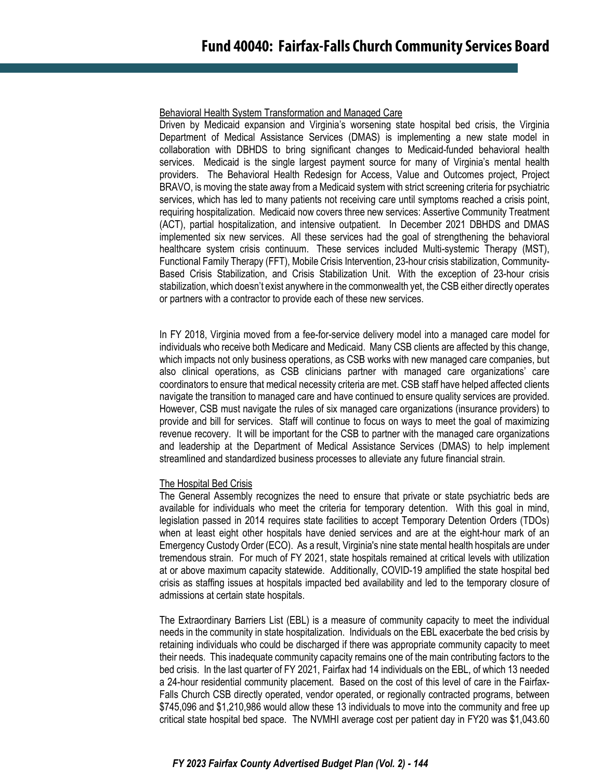#### Behavioral Health System Transformation and Managed Care

Driven by Medicaid expansion and Virginia's worsening state hospital bed crisis, the Virginia Department of Medical Assistance Services (DMAS) is implementing a new state model in collaboration with DBHDS to bring significant changes to Medicaid-funded behavioral health services. Medicaid is the single largest payment source for many of Virginia's mental health providers. The Behavioral Health Redesign for Access, Value and Outcomes project, Project BRAVO, is moving the state away from a Medicaid system with strict screening criteria for psychiatric services, which has led to many patients not receiving care until symptoms reached a crisis point, requiring hospitalization. Medicaid now covers three new services: Assertive Community Treatment (ACT), partial hospitalization, and intensive outpatient. In December 2021 DBHDS and DMAS implemented six new services. All these services had the goal of strengthening the behavioral healthcare system crisis continuum. These services included Multi-systemic Therapy (MST), Functional Family Therapy (FFT), Mobile Crisis Intervention, 23-hour crisis stabilization, Community-Based Crisis Stabilization, and Crisis Stabilization Unit. With the exception of 23-hour crisis stabilization, which doesn't exist anywhere in the commonwealth yet, the CSB either directly operates or partners with a contractor to provide each of these new services.

In FY 2018, Virginia moved from a fee-for-service delivery model into a managed care model for individuals who receive both Medicare and Medicaid. Many CSB clients are affected by this change, which impacts not only business operations, as CSB works with new managed care companies, but also clinical operations, as CSB clinicians partner with managed care organizations' care coordinators to ensure that medical necessity criteria are met. CSB staff have helped affected clients navigate the transition to managed care and have continued to ensure quality services are provided. However, CSB must navigate the rules of six managed care organizations (insurance providers) to provide and bill for services. Staff will continue to focus on ways to meet the goal of maximizing revenue recovery. It will be important for the CSB to partner with the managed care organizations and leadership at the Department of Medical Assistance Services (DMAS) to help implement streamlined and standardized business processes to alleviate any future financial strain.

#### The Hospital Bed Crisis

The General Assembly recognizes the need to ensure that private or state psychiatric beds are available for individuals who meet the criteria for temporary detention. With this goal in mind, legislation passed in 2014 requires state facilities to accept Temporary Detention Orders (TDOs) when at least eight other hospitals have denied services and are at the eight-hour mark of an Emergency Custody Order (ECO). As a result, Virginia's nine state mental health hospitals are under tremendous strain. For much of FY 2021, state hospitals remained at critical levels with utilization at or above maximum capacity statewide. Additionally, COVID-19 amplified the state hospital bed crisis as staffing issues at hospitals impacted bed availability and led to the temporary closure of admissions at certain state hospitals.

The Extraordinary Barriers List (EBL) is a measure of community capacity to meet the individual needs in the community in state hospitalization. Individuals on the EBL exacerbate the bed crisis by retaining individuals who could be discharged if there was appropriate community capacity to meet their needs. This inadequate community capacity remains one of the main contributing factors to the bed crisis. In the last quarter of FY 2021, Fairfax had 14 individuals on the EBL, of which 13 needed a 24-hour residential community placement. Based on the cost of this level of care in the Fairfax-Falls Church CSB directly operated, vendor operated, or regionally contracted programs, between \$745,096 and \$1,210,986 would allow these 13 individuals to move into the community and free up critical state hospital bed space. The NVMHI average cost per patient day in FY20 was \$1,043.60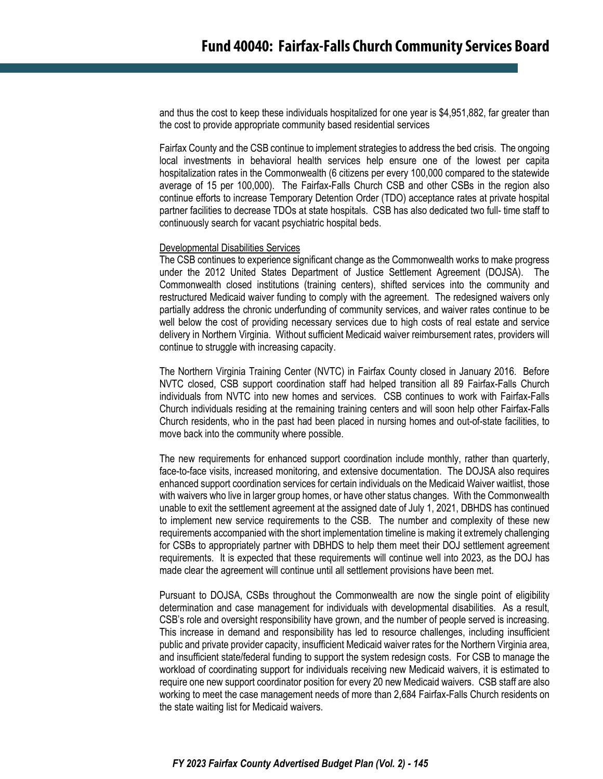and thus the cost to keep these individuals hospitalized for one year is \$4,951,882, far greater than the cost to provide appropriate community based residential services

Fairfax County and the CSB continue to implement strategies to address the bed crisis. The ongoing local investments in behavioral health services help ensure one of the lowest per capita hospitalization rates in the Commonwealth (6 citizens per every 100,000 compared to the statewide average of 15 per 100,000). The Fairfax-Falls Church CSB and other CSBs in the region also continue efforts to increase Temporary Detention Order (TDO) acceptance rates at private hospital partner facilities to decrease TDOs at state hospitals. CSB has also dedicated two full- time staff to continuously search for vacant psychiatric hospital beds.

#### Developmental Disabilities Services

The CSB continues to experience significant change as the Commonwealth works to make progress under the 2012 United States Department of Justice Settlement Agreement (DOJSA). The Commonwealth closed institutions (training centers), shifted services into the community and restructured Medicaid waiver funding to comply with the agreement. The redesigned waivers only partially address the chronic underfunding of community services, and waiver rates continue to be well below the cost of providing necessary services due to high costs of real estate and service delivery in Northern Virginia. Without sufficient Medicaid waiver reimbursement rates, providers will continue to struggle with increasing capacity.

The Northern Virginia Training Center (NVTC) in Fairfax County closed in January 2016. Before NVTC closed, CSB support coordination staff had helped transition all 89 Fairfax-Falls Church individuals from NVTC into new homes and services. CSB continues to work with Fairfax-Falls Church individuals residing at the remaining training centers and will soon help other Fairfax-Falls Church residents, who in the past had been placed in nursing homes and out-of-state facilities, to move back into the community where possible.

The new requirements for enhanced support coordination include monthly, rather than quarterly, face-to-face visits, increased monitoring, and extensive documentation. The DOJSA also requires enhanced support coordination services for certain individuals on the Medicaid Waiver waitlist, those with waivers who live in larger group homes, or have other status changes. With the Commonwealth unable to exit the settlement agreement at the assigned date of July 1, 2021, DBHDS has continued to implement new service requirements to the CSB. The number and complexity of these new requirements accompanied with the short implementation timeline is making it extremely challenging for CSBs to appropriately partner with DBHDS to help them meet their DOJ settlement agreement requirements. It is expected that these requirements will continue well into 2023, as the DOJ has made clear the agreement will continue until all settlement provisions have been met.

Pursuant to DOJSA, CSBs throughout the Commonwealth are now the single point of eligibility determination and case management for individuals with developmental disabilities. As a result, CSB's role and oversight responsibility have grown, and the number of people served is increasing. This increase in demand and responsibility has led to resource challenges, including insufficient public and private provider capacity, insufficient Medicaid waiver rates for the Northern Virginia area, and insufficient state/federal funding to support the system redesign costs. For CSB to manage the workload of coordinating support for individuals receiving new Medicaid waivers, it is estimated to require one new support coordinator position for every 20 new Medicaid waivers. CSB staff are also working to meet the case management needs of more than 2,684 Fairfax-Falls Church residents on the state waiting list for Medicaid waivers.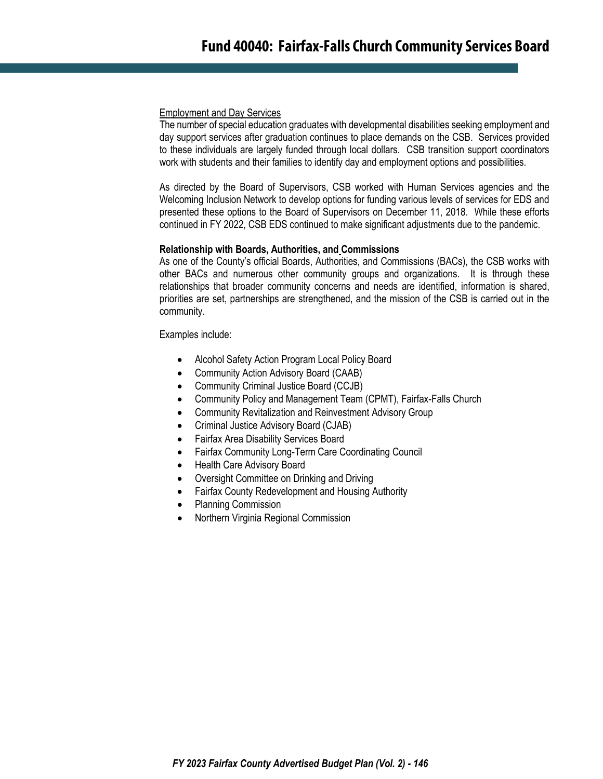#### Employment and Day Services

The number of special education graduates with developmental disabilities seeking employment and day support services after graduation continues to place demands on the CSB. Services provided to these individuals are largely funded through local dollars. CSB transition support coordinators work with students and their families to identify day and employment options and possibilities.

As directed by the Board of Supervisors, CSB worked with Human Services agencies and the Welcoming Inclusion Network to develop options for funding various levels of services for EDS and presented these options to the Board of Supervisors on December 11, 2018. While these efforts continued in FY 2022, CSB EDS continued to make significant adjustments due to the pandemic.

#### **Relationship with Boards, Authorities, and Commissions**

As one of the County's official Boards, Authorities, and Commissions (BACs), the CSB works with other BACs and numerous other community groups and organizations. It is through these relationships that broader community concerns and needs are identified, information is shared, priorities are set, partnerships are strengthened, and the mission of the CSB is carried out in the community.

Examples include:

- Alcohol Safety Action Program Local Policy Board
- [Community Action Advisory Board \(CAAB\)](http://www.fairfaxcounty.gov/BACS/BoardDetails.aspx?BoardID=23341)
- [Community Criminal Justice Board \(CCJB\)](http://www.fairfaxcounty.gov/BACS/BoardDetails.aspx?BoardID=22004)
- [Community Policy and Management Team \(CPMT\), Fairfax-Falls Church](http://www.fairfaxcounty.gov/BACS/BoardDetails.aspx?BoardID=22005)
- Community Revitalization and [Reinvestment Advisory Group](http://www.fairfaxcounty.gov/BACS/BoardDetails.aspx?BoardID=100502)
- [Criminal Justice Advisory Board \(CJAB\)](http://www.fairfaxcounty.gov/BACS/BoardDetails.aspx?BoardID=23310)
- [Fairfax Area Disability Services Board](http://www.fairfaxcounty.gov/BACS/BoardDetails.aspx?BoardID=26510)
- [Fairfax Community Long-Term Care Coordinating Council](http://www.fairfaxcounty.gov/BACS/BoardDetails.aspx?BoardID=100082)
- [Health Care Advisory Board](http://www.fairfaxcounty.gov/BACS/BoardDetails.aspx?BoardID=23320)
- Oversight Committee on Drinking and Driving
- Fairfax County Redevelopment and Housing Authority
- [Planning Commission](http://www.fairfaxcounty.gov/BACS/BoardDetails.aspx?BoardID=23327)
- [Northern Virginia Regional Commission](http://www.fairfaxcounty.gov/BACS/BoardDetails.aspx?BoardID=23404)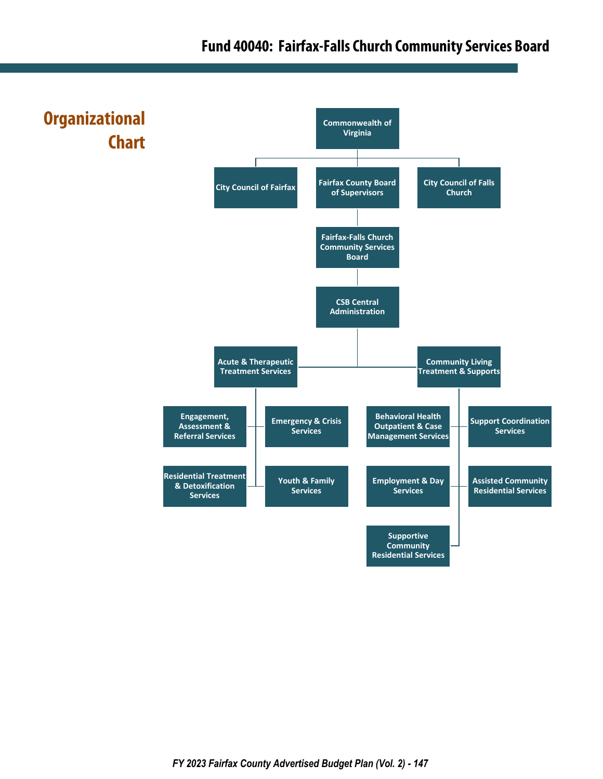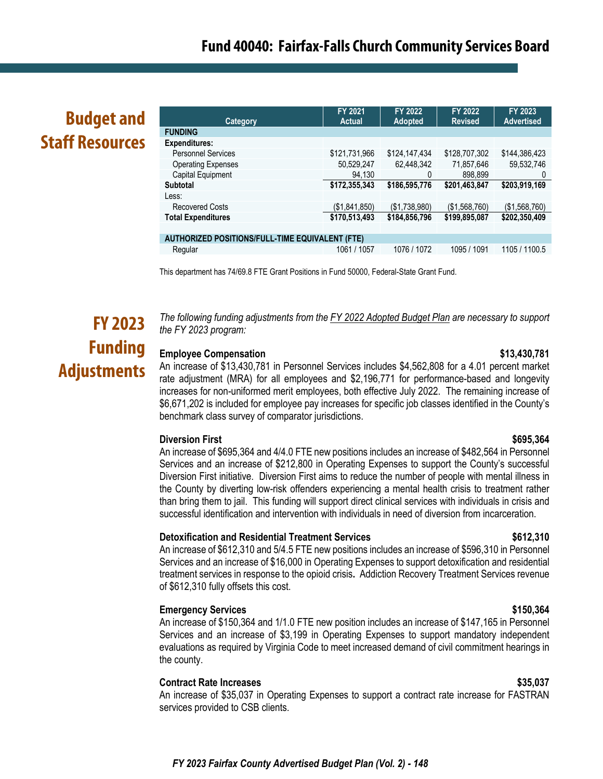# **Budget and Staff Resources**

| <b>Category</b>                                        | <b>FY 2021</b><br><b>Actual</b> | <b>FY 2022</b><br><b>Adopted</b> | FY 2022<br><b>Revised</b> | FY 2023<br><b>Advertised</b> |
|--------------------------------------------------------|---------------------------------|----------------------------------|---------------------------|------------------------------|
| <b>FUNDING</b>                                         |                                 |                                  |                           |                              |
| Expenditures:                                          |                                 |                                  |                           |                              |
| <b>Personnel Services</b>                              | \$121,731,966                   | \$124,147,434                    | \$128,707,302             | \$144,386,423                |
| <b>Operating Expenses</b>                              | 50,529,247                      | 62,448,342                       | 71,857,646                | 59,532,746                   |
| Capital Equipment                                      | 94.130                          | 0                                | 898.899                   | 0                            |
| <b>Subtotal</b>                                        | \$172,355,343                   | \$186,595,776                    | \$201,463,847             | \$203,919,169                |
| Less:                                                  |                                 |                                  |                           |                              |
| <b>Recovered Costs</b>                                 | (\$1,841,850)                   | (\$1,738,980)                    | (\$1,568,760)             | (\$1,568,760)                |
| <b>Total Expenditures</b>                              | \$170,513,493                   | \$184,856,796                    | \$199,895,087             | \$202,350,409                |
|                                                        |                                 |                                  |                           |                              |
| <b>AUTHORIZED POSITIONS/FULL-TIME EQUIVALENT (FTE)</b> |                                 |                                  |                           |                              |
| Regular                                                | 1061 / 1057                     | 1076 / 1072                      | 1095 / 1091               | 1105 / 1100.5                |
|                                                        |                                 |                                  |                           |                              |

This department has 74/69.8 FTE Grant Positions in Fund 50000, Federal-State Grant Fund.

# **FY 2023 Funding Adjustments**

*The following funding adjustments from the FY 2022 Adopted Budget Plan are necessary to support the FY 2023 program:*

#### **Employee Compensation 6.13.430,781**

An increase of \$13,430,781 in Personnel Services includes \$4,562,808 for a 4.01 percent market rate adjustment (MRA) for all employees and \$2,196,771 for performance-based and longevity increases for non-uniformed merit employees, both effective July 2022. The remaining increase of \$6,671,202 is included for employee pay increases for specific job classes identified in the County's benchmark class survey of comparator jurisdictions.

### **Diversion First \$695,364**

An increase of \$695,364 and 4/4.0 FTE new positions includes an increase of \$482,564 in Personnel Services and an increase of \$212,800 in Operating Expenses to support the County's successful Diversion First initiative. Diversion First aims to reduce the number of people with mental illness in the County by diverting low-risk offenders experiencing a mental health crisis to treatment rather than bring them to jail. This funding will support direct clinical services with individuals in crisis and successful identification and intervention with individuals in need of diversion from incarceration.

#### **Detoxification and Residential Treatment Services \$612,310**

An increase of \$612,310 and 5/4.5 FTE new positions includes an increase of \$596,310 in Personnel Services and an increase of \$16,000 in Operating Expenses to support detoxification and residential treatment services in response to the opioid crisis**.** Addiction Recovery Treatment Services revenue of \$612,310 fully offsets this cost.

#### **Emergency Services \$150,364**

An increase of \$150,364 and 1/1.0 FTE new position includes an increase of \$147,165 in Personnel Services and an increase of \$3,199 in Operating Expenses to support mandatory independent evaluations as required by Virginia Code to meet increased demand of civil commitment hearings in the county.

#### **Contract Rate Increases \$35,037**

An increase of \$35,037 in Operating Expenses to support a contract rate increase for FASTRAN services provided to CSB clients.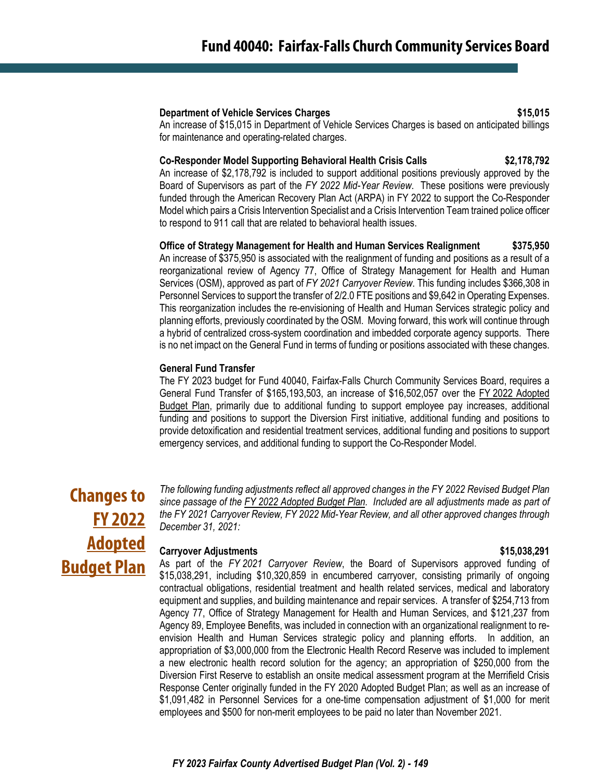#### **Department of Vehicle Services Charges \$15,015**

An increase of \$15,015 in Department of Vehicle Services Charges is based on anticipated billings for maintenance and operating-related charges.

#### **Co-Responder Model Supporting Behavioral Health Crisis Calls \$2,178,792**

An increase of \$2,178,792 is included to support additional positions previously approved by the Board of Supervisors as part of the *FY 2022 Mid-Year Review*. These positions were previously funded through the American Recovery Plan Act (ARPA) in FY 2022 to support the Co-Responder Model which pairs a Crisis Intervention Specialist and a Crisis Intervention Team trained police officer to respond to 911 call that are related to behavioral health issues.

#### **Office of Strategy Management for Health and Human Services Realignment \$375,950**

An increase of \$375,950 is associated with the realignment of funding and positions as a result of a reorganizational review of Agency 77, Office of Strategy Management for Health and Human Services (OSM), approved as part of *FY 2021 Carryover Review*. This funding includes \$366,308 in Personnel Services to support the transfer of 2/2.0 FTE positions and \$9,642 in Operating Expenses. This reorganization includes the re-envisioning of Health and Human Services strategic policy and planning efforts, previously coordinated by the OSM. Moving forward, this work will continue through a hybrid of centralized cross-system coordination and imbedded corporate agency supports. There is no net impact on the General Fund in terms of funding or positions associated with these changes.

#### **General Fund Transfer**

The FY 2023 budget for Fund 40040, Fairfax-Falls Church Community Services Board, requires a General Fund Transfer of \$165,193,503, an increase of \$16,502,057 over the FY 2022 Adopted Budget Plan, primarily due to additional funding to support employee pay increases, additional funding and positions to support the Diversion First initiative, additional funding and positions to provide detoxification and residential treatment services, additional funding and positions to support emergency services, and additional funding to support the Co-Responder Model.

# **Changes to FY 2022 Adopted Budget Plan**

*The following funding adjustments reflect all approved changes in the FY 2022 Revised Budget Plan since passage of the FY 2022 Adopted Budget Plan. Included are all adjustments made as part of the FY 2021 Carryover Review, FY 2022 Mid-Year Review, and all other approved changes through December 31, 2021:*

### **Carryover Adjustments \$15,038,291**

As part of the *FY 2021 Carryover Review*, the Board of Supervisors approved funding of \$15,038,291, including \$10,320,859 in encumbered carryover, consisting primarily of ongoing contractual obligations, residential treatment and health related services, medical and laboratory equipment and supplies, and building maintenance and repair services. A transfer of \$254,713 from Agency 77, Office of Strategy Management for Health and Human Services, and \$121,237 from Agency 89, Employee Benefits, was included in connection with an organizational realignment to reenvision Health and Human Services strategic policy and planning efforts. In addition, an appropriation of \$3,000,000 from the Electronic Health Record Reserve was included to implement a new electronic health record solution for the agency; an appropriation of \$250,000 from the Diversion First Reserve to establish an onsite medical assessment program at the Merrifield Crisis Response Center originally funded in the FY 2020 Adopted Budget Plan; as well as an increase of \$1,091,482 in Personnel Services for a one-time compensation adjustment of \$1,000 for merit employees and \$500 for non-merit employees to be paid no later than November 2021.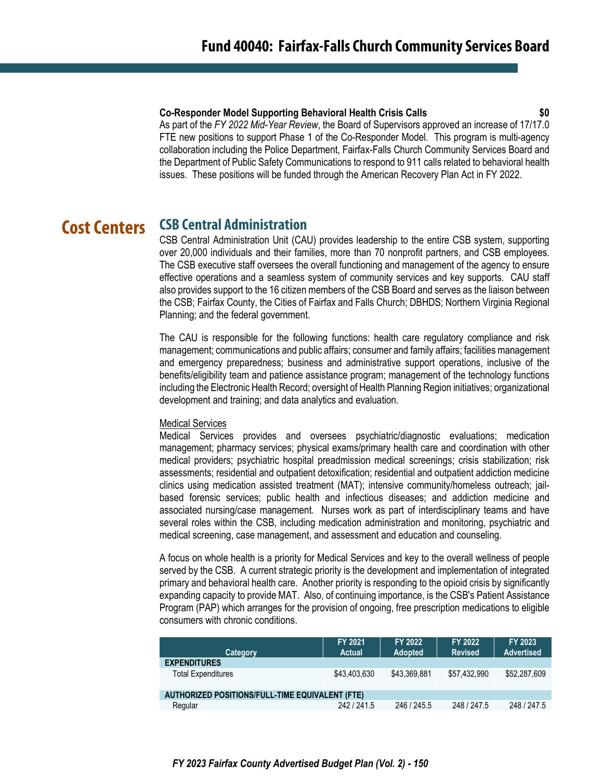#### **Co-Responder Model Supporting Behavioral Health Crisis Calls \$0**

As part of the *FY 2022 Mid-Year Review*, the Board of Supervisors approved an increase of 17/17.0 FTE new positions to support Phase 1 of the Co-Responder Model. This program is multi-agency collaboration including the Police Department, Fairfax-Falls Church Community Services Board and the Department of Public Safety Communications to respond to 911 calls related to behavioral health issues. These positions will be funded through the American Recovery Plan Act in FY 2022.

#### **CSB Central Administration Cost Centers**

CSB Central Administration Unit (CAU) provides leadership to the entire CSB system, supporting over 20,000 individuals and their families, more than 70 nonprofit partners, and CSB employees. The CSB executive staff oversees the overall functioning and management of the agency to ensure effective operations and a seamless system of community services and key supports. CAU staff also provides support to the 16 citizen members of the CSB Board and serves as the liaison between the CSB; Fairfax County, the Cities of Fairfax and Falls Church; DBHDS; Northern Virginia Regional Planning; and the federal government.

The CAU is responsible for the following functions: health care regulatory compliance and risk management; communications and public affairs; consumer and family affairs; facilities management and emergency preparedness; business and administrative support operations, inclusive of the benefits/eligibility team and patience assistance program; management of the technology functions including the Electronic Health Record; oversight of Health Planning Region initiatives; organizational development and training; and data analytics and evaluation.

#### Medical Services

Medical Services provides and oversees psychiatric/diagnostic evaluations; medication management; pharmacy services; physical exams/primary health care and coordination with other medical providers; psychiatric hospital preadmission medical screenings; crisis stabilization; risk assessments; residential and outpatient detoxification; residential and outpatient addiction medicine clinics using medication assisted treatment (MAT); intensive community/homeless outreach; jailbased forensic services; public health and infectious diseases; and addiction medicine and associated nursing/case management. Nurses work as part of interdisciplinary teams and have several roles within the CSB, including medication administration and monitoring, psychiatric and medical screening, case management, and assessment and education and counseling.

A focus on whole health is a priority for Medical Services and key to the overall wellness of people served by the CSB. A current strategic priority is the development and implementation of integrated primary and behavioral health care. Another priority is responding to the opioid crisis by significantly expanding capacity to provide MAT. Also, of continuing importance, is the CSB's Patient Assistance Program (PAP) which arranges for the provision of ongoing, free prescription medications to eligible consumers with chronic conditions.

| Category                                        | FY 2021<br><b>Actual</b> | FY 2022<br><b>Adopted</b> | FY 2022<br><b>Revised</b> | <b>FY 2023</b><br><b>Advertised</b> |
|-------------------------------------------------|--------------------------|---------------------------|---------------------------|-------------------------------------|
| <b>EXPENDITURES</b>                             |                          |                           |                           |                                     |
| <b>Total Expenditures</b>                       | \$43,403,630             | \$43.369.881              | \$57.432.990              | \$52,287,609                        |
|                                                 |                          |                           |                           |                                     |
| AUTHORIZED POSITIONS/FULL-TIME EQUIVALENT (FTE) |                          |                           |                           |                                     |
| Regular                                         | 242/241.5                | 246 / 245.5               | 248 / 247.5               | 248 / 247.5                         |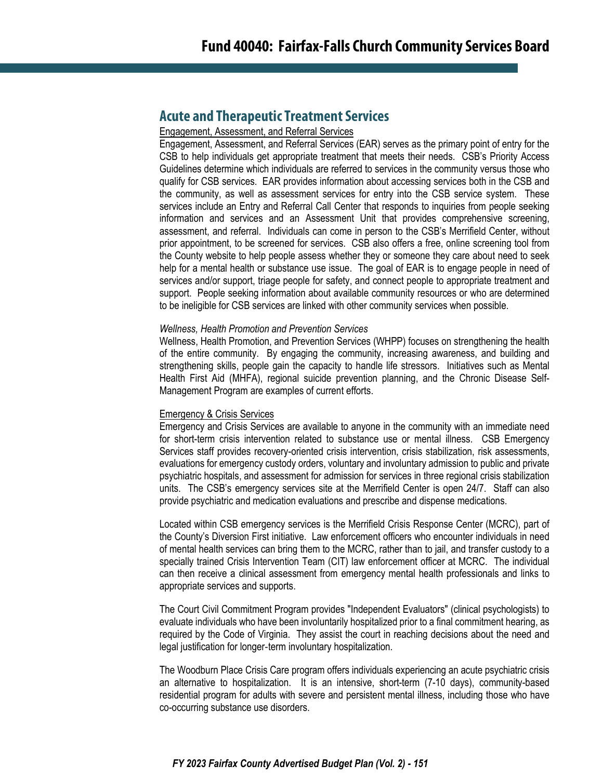## **Acute and Therapeutic Treatment Services**

#### Engagement, Assessment, and Referral Services

Engagement, Assessment, and Referral Services (EAR) serves as the primary point of entry for the CSB to help individuals get appropriate treatment that meets their needs. CSB's Priority Access Guidelines determine which individuals are referred to services in the community versus those who qualify for CSB services. EAR provides information about accessing services both in the CSB and the community, as well as assessment services for entry into the CSB service system. These services include an Entry and Referral Call Center that responds to inquiries from people seeking information and services and an Assessment Unit that provides comprehensive screening, assessment, and referral. Individuals can come in person to the CSB's Merrifield Center, without prior appointment, to be screened for services. CSB also offers a free, online screening tool from the County website to help people assess whether they or someone they care about need to seek help for a mental health or substance use issue. The goal of EAR is to engage people in need of services and/or support, triage people for safety, and connect people to appropriate treatment and support. People seeking information about available community resources or who are determined to be ineligible for CSB services are linked with other community services when possible.

#### *Wellness, Health Promotion and Prevention Services*

Wellness, Health Promotion, and Prevention Services (WHPP) focuses on strengthening the health of the entire community. By engaging the community, increasing awareness, and building and strengthening skills, people gain the capacity to handle life stressors. Initiatives such as Mental Health First Aid (MHFA), regional suicide prevention planning, and the Chronic Disease Self-Management Program are examples of current efforts.

#### Emergency & Crisis Services

Emergency and Crisis Services are available to anyone in the community with an immediate need for short-term crisis intervention related to substance use or mental illness. CSB Emergency Services staff provides recovery-oriented crisis intervention, crisis stabilization, risk assessments, evaluations for emergency custody orders, voluntary and involuntary admission to public and private psychiatric hospitals, and assessment for admission for services in three regional crisis stabilization units. The CSB's emergency services site at the Merrifield Center is open 24/7. Staff can also provide psychiatric and medication evaluations and prescribe and dispense medications.

Located within CSB emergency services is the Merrifield Crisis Response Center (MCRC), part of the County's Diversion First initiative. Law enforcement officers who encounter individuals in need of mental health services can bring them to the MCRC, rather than to jail, and transfer custody to a specially trained Crisis Intervention Team (CIT) law enforcement officer at MCRC. The individual can then receive a clinical assessment from emergency mental health professionals and links to appropriate services and supports.

The Court Civil Commitment Program provides "Independent Evaluators" (clinical psychologists) to evaluate individuals who have been involuntarily hospitalized prior to a final commitment hearing, as required by the Code of Virginia. They assist the court in reaching decisions about the need and legal justification for longer‐term involuntary hospitalization.

The Woodburn Place Crisis Care program offers individuals experiencing an acute psychiatric crisis an alternative to hospitalization. It is an intensive, short-term (7-10 days), community-based residential program for adults with severe and persistent mental illness, including those who have co-occurring substance use disorders.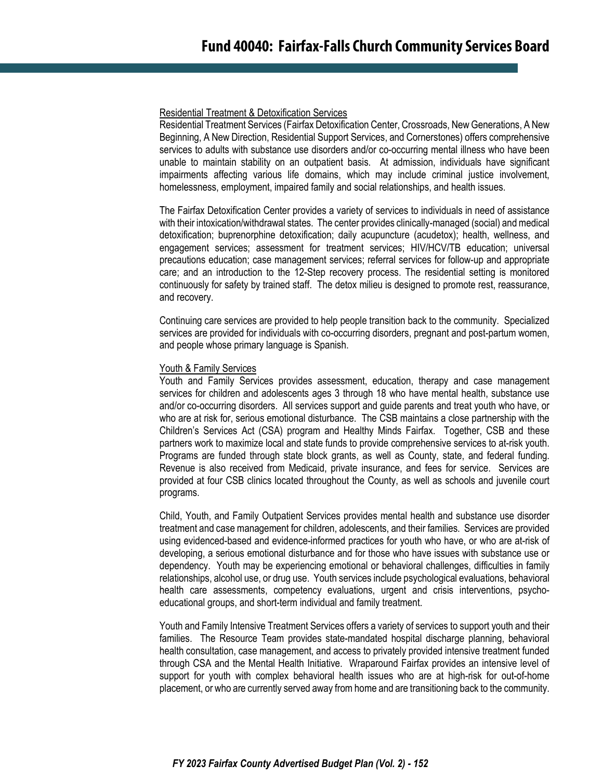#### Residential Treatment & Detoxification Services

Residential Treatment Services (Fairfax Detoxification Center, Crossroads, New Generations, A New Beginning, A New Direction, Residential Support Services, and Cornerstones) offers comprehensive services to adults with substance use disorders and/or co-occurring mental illness who have been unable to maintain stability on an outpatient basis. At admission, individuals have significant impairments affecting various life domains, which may include criminal justice involvement, homelessness, employment, impaired family and social relationships, and health issues.

The Fairfax Detoxification Center provides a variety of services to individuals in need of assistance with their intoxication/withdrawal states. The center provides clinically-managed (social) and medical detoxification; buprenorphine detoxification; daily acupuncture (acudetox); health, wellness, and engagement services; assessment for treatment services; HIV/HCV/TB education; universal precautions education; case management services; referral services for follow-up and appropriate care; and an introduction to the 12-Step recovery process. The residential setting is monitored continuously for safety by trained staff. The detox milieu is designed to promote rest, reassurance, and recovery.

Continuing care services are provided to help people transition back to the community. Specialized services are provided for individuals with co-occurring disorders, pregnant and post-partum women, and people whose primary language is Spanish.

### Youth & Family Services

Youth and Family Services provides assessment, education, therapy and case management services for children and adolescents ages 3 through 18 who have mental health, substance use and/or co-occurring disorders. All services support and guide parents and treat youth who have, or who are at risk for, serious emotional disturbance. The CSB maintains a close partnership with the Children's Services Act (CSA) program and Healthy Minds Fairfax. Together, CSB and these partners work to maximize local and state funds to provide comprehensive services to at-risk youth. Programs are funded through state block grants, as well as County, state, and federal funding. Revenue is also received from Medicaid, private insurance, and fees for service. Services are provided at four CSB clinics located throughout the County, as well as schools and juvenile court programs.

Child, Youth, and Family Outpatient Services provides mental health and substance use disorder treatment and case management for children, adolescents, and their families. Services are provided using evidenced-based and evidence-informed practices for youth who have, or who are at-risk of developing, a serious emotional disturbance and for those who have issues with substance use or dependency. Youth may be experiencing emotional or behavioral challenges, difficulties in family relationships, alcohol use, or drug use. Youth services include psychological evaluations, behavioral health care assessments, competency evaluations, urgent and crisis interventions, psychoeducational groups, and short-term individual and family treatment.

Youth and Family Intensive Treatment Services offers a variety of services to support youth and their families. The Resource Team provides state-mandated hospital discharge planning, behavioral health consultation, case management, and access to privately provided intensive treatment funded through CSA and the Mental Health Initiative. Wraparound Fairfax provides an intensive level of support for youth with complex behavioral health issues who are at high-risk for out-of-home placement, or who are currently served away from home and are transitioning back to the community.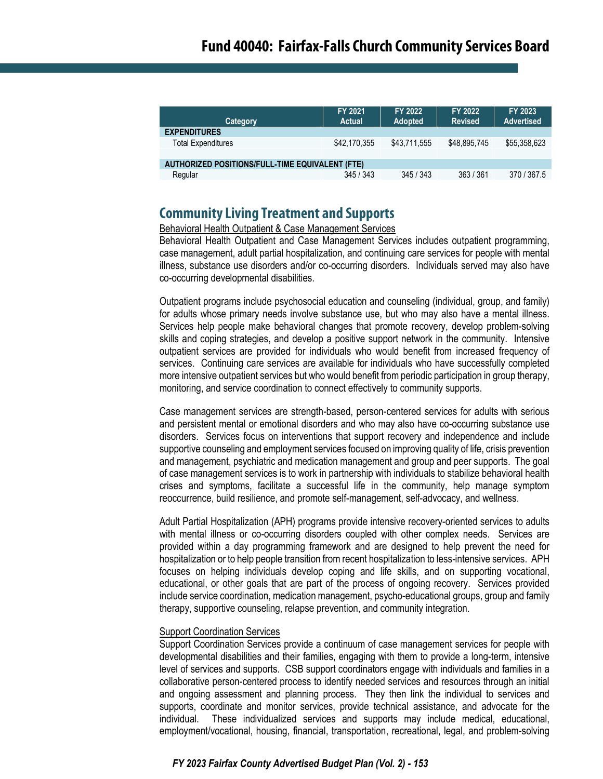| Category                                        | FY 2021<br>Actual | FY 2022<br><b>Adopted</b> | FY 2022<br><b>Revised</b> | FY 2023<br><b>Advertised</b> |
|-------------------------------------------------|-------------------|---------------------------|---------------------------|------------------------------|
| <b>EXPENDITURES</b>                             |                   |                           |                           |                              |
| <b>Total Expenditures</b>                       | \$42,170,355      | \$43.711.555              | \$48,895,745              | \$55,358,623                 |
|                                                 |                   |                           |                           |                              |
| AUTHORIZED POSITIONS/FULL-TIME EQUIVALENT (FTE) |                   |                           |                           |                              |
| Regular                                         | 345/343           | 345/343                   | 363 / 361                 | 370 / 367.5                  |

## **Community Living Treatment and Supports**

Behavioral Health Outpatient & Case Management Services

Behavioral Health Outpatient and Case Management Services includes outpatient programming, case management, adult partial hospitalization, and continuing care services for people with mental illness, substance use disorders and/or co-occurring disorders. Individuals served may also have co-occurring developmental disabilities.

Outpatient programs include psychosocial education and counseling (individual, group, and family) for adults whose primary needs involve substance use, but who may also have a mental illness. Services help people make behavioral changes that promote recovery, develop problem-solving skills and coping strategies, and develop a positive support network in the community. Intensive outpatient services are provided for individuals who would benefit from increased frequency of services. Continuing care services are available for individuals who have successfully completed more intensive outpatient services but who would benefit from periodic participation in group therapy, monitoring, and service coordination to connect effectively to community supports.

Case management services are strength-based, person-centered services for adults with serious and persistent mental or emotional disorders and who may also have co-occurring substance use disorders. Services focus on interventions that support recovery and independence and include supportive counseling and employment services focused on improving quality of life, crisis prevention and management, psychiatric and medication management and group and peer supports. The goal of case management services is to work in partnership with individuals to stabilize behavioral health crises and symptoms, facilitate a successful life in the community, help manage symptom reoccurrence, build resilience, and promote self-management, self-advocacy, and wellness.

Adult Partial Hospitalization (APH) programs provide intensive recovery-oriented services to adults with mental illness or co-occurring disorders coupled with other complex needs. Services are provided within a day programming framework and are designed to help prevent the need for hospitalization or to help people transition from recent hospitalization to less-intensive services. APH focuses on helping individuals develop coping and life skills, and on supporting vocational, educational, or other goals that are part of the process of ongoing recovery. Services provided include service coordination, medication management, psycho-educational groups, group and family therapy, supportive counseling, relapse prevention, and community integration.

### Support Coordination Services

Support Coordination Services provide a continuum of case management services for people with developmental disabilities and their families, engaging with them to provide a long-term, intensive level of services and supports. CSB support coordinators engage with individuals and families in a collaborative person-centered process to identify needed services and resources through an initial and ongoing assessment and planning process. They then link the individual to services and supports, coordinate and monitor services, provide technical assistance, and advocate for the individual. These individualized services and supports may include medical, educational, employment/vocational, housing, financial, transportation, recreational, legal, and problem-solving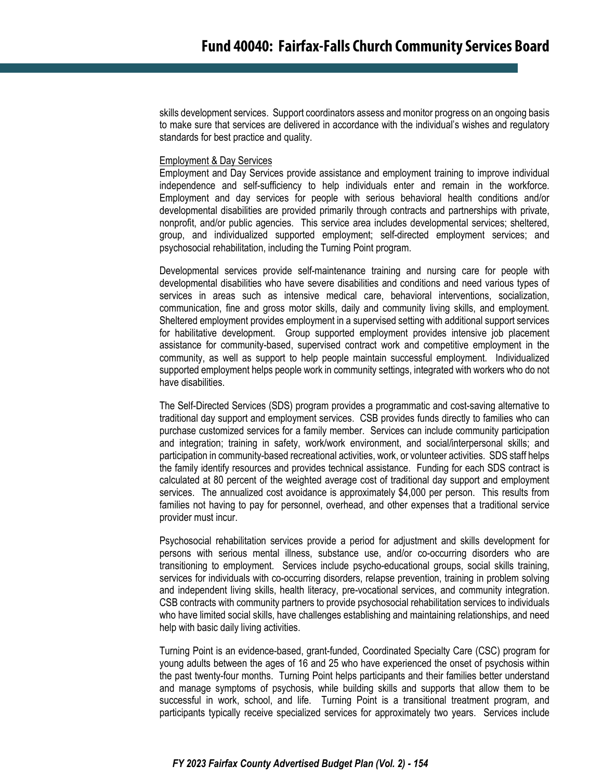skills development services. Support coordinators assess and monitor progress on an ongoing basis to make sure that services are delivered in accordance with the individual's wishes and regulatory standards for best practice and quality.

#### Employment & Day Services

Employment and Day Services provide assistance and employment training to improve individual independence and self-sufficiency to help individuals enter and remain in the workforce. Employment and day services for people with serious behavioral health conditions and/or developmental disabilities are provided primarily through contracts and partnerships with private, nonprofit, and/or public agencies. This service area includes developmental services; sheltered, group, and individualized supported employment; self-directed employment services; and psychosocial rehabilitation, including the Turning Point program.

Developmental services provide self-maintenance training and nursing care for people with developmental disabilities who have severe disabilities and conditions and need various types of services in areas such as intensive medical care, behavioral interventions, socialization, communication, fine and gross motor skills, daily and community living skills, and employment. Sheltered employment provides employment in a supervised setting with additional support services for habilitative development. Group supported employment provides intensive job placement assistance for community-based, supervised contract work and competitive employment in the community, as well as support to help people maintain successful employment. Individualized supported employment helps people work in community settings, integrated with workers who do not have disabilities.

The Self-Directed Services (SDS) program provides a programmatic and cost-saving alternative to traditional day support and employment services. CSB provides funds directly to families who can purchase customized services for a family member. Services can include community participation and integration; training in safety, work/work environment, and social/interpersonal skills; and participation in community-based recreational activities, work, or volunteer activities. SDS staff helps the family identify resources and provides technical assistance. Funding for each SDS contract is calculated at 80 percent of the weighted average cost of traditional day support and employment services. The annualized cost avoidance is approximately \$4,000 per person. This results from families not having to pay for personnel, overhead, and other expenses that a traditional service provider must incur.

Psychosocial rehabilitation services provide a period for adjustment and skills development for persons with serious mental illness, substance use, and/or co-occurring disorders who are transitioning to employment. Services include psycho-educational groups, social skills training, services for individuals with co-occurring disorders, relapse prevention, training in problem solving and independent living skills, health literacy, pre-vocational services, and community integration. CSB contracts with community partners to provide psychosocial rehabilitation services to individuals who have limited social skills, have challenges establishing and maintaining relationships, and need help with basic daily living activities.

Turning Point is an evidence-based, grant-funded, Coordinated Specialty Care (CSC) program for young adults between the ages of 16 and 25 who have experienced the onset of psychosis within the past twenty-four months. Turning Point helps participants and their families better understand and manage symptoms of psychosis, while building skills and supports that allow them to be successful in work, school, and life. Turning Point is a transitional treatment program, and participants typically receive specialized services for approximately two years. Services include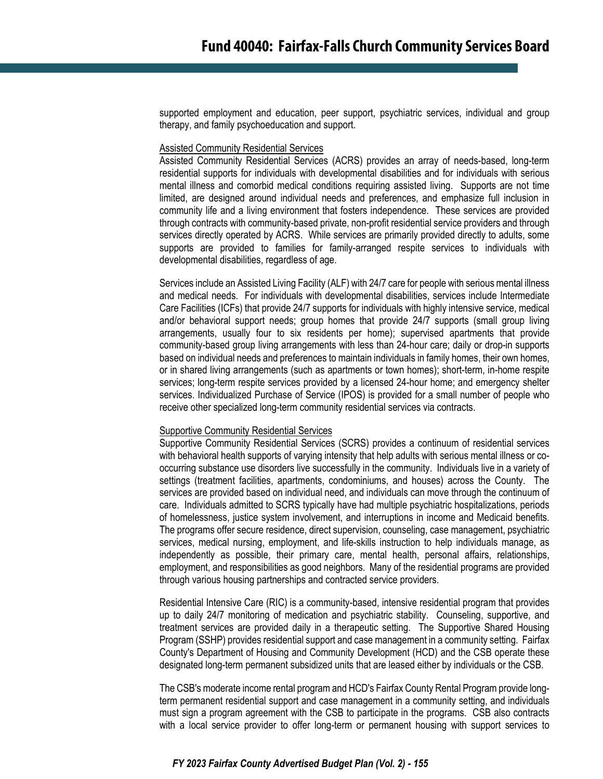supported employment and education, peer support, psychiatric services, individual and group therapy, and family psychoeducation and support.

#### Assisted Community Residential Services

Assisted Community Residential Services (ACRS) provides an array of needs-based, long-term residential supports for individuals with developmental disabilities and for individuals with serious mental illness and comorbid medical conditions requiring assisted living. Supports are not time limited, are designed around individual needs and preferences, and emphasize full inclusion in community life and a living environment that fosters independence. These services are provided through contracts with community-based private, non-profit residential service providers and through services directly operated by ACRS. While services are primarily provided directly to adults, some supports are provided to families for family-arranged respite services to individuals with developmental disabilities, regardless of age.

Services include an Assisted Living Facility (ALF) with 24/7 care for people with serious mental illness and medical needs. For individuals with developmental disabilities, services include Intermediate Care Facilities (ICFs) that provide 24/7 supports for individuals with highly intensive service, medical and/or behavioral support needs; group homes that provide 24/7 supports (small group living arrangements, usually four to six residents per home); supervised apartments that provide community-based group living arrangements with less than 24-hour care; daily or drop-in supports based on individual needs and preferences to maintain individuals in family homes, their own homes, or in shared living arrangements (such as apartments or town homes); short-term, in-home respite services; long-term respite services provided by a licensed 24-hour home; and emergency shelter services. Individualized Purchase of Service (IPOS) is provided for a small number of people who receive other specialized long-term community residential services via contracts.

#### Supportive Community Residential Services

Supportive Community Residential Services (SCRS) provides a continuum of residential services with behavioral health supports of varying intensity that help adults with serious mental illness or cooccurring substance use disorders live successfully in the community. Individuals live in a variety of settings (treatment facilities, apartments, condominiums, and houses) across the County. The services are provided based on individual need, and individuals can move through the continuum of care. Individuals admitted to SCRS typically have had multiple psychiatric hospitalizations, periods of homelessness, justice system involvement, and interruptions in income and Medicaid benefits. The programs offer secure residence, direct supervision, counseling, case management, psychiatric services, medical nursing, employment, and life-skills instruction to help individuals manage, as independently as possible, their primary care, mental health, personal affairs, relationships, employment, and responsibilities as good neighbors. Many of the residential programs are provided through various housing partnerships and contracted service providers.

Residential Intensive Care (RIC) is a community-based, intensive residential program that provides up to daily 24/7 monitoring of medication and psychiatric stability. Counseling, supportive, and treatment services are provided daily in a therapeutic setting. The Supportive Shared Housing Program (SSHP) provides residential support and case management in a community setting. Fairfax County's Department of Housing and Community Development (HCD) and the CSB operate these designated long-term permanent subsidized units that are leased either by individuals or the CSB.

The CSB's moderate income rental program and HCD's Fairfax County Rental Program provide longterm permanent residential support and case management in a community setting, and individuals must sign a program agreement with the CSB to participate in the programs. CSB also contracts with a local service provider to offer long-term or permanent housing with support services to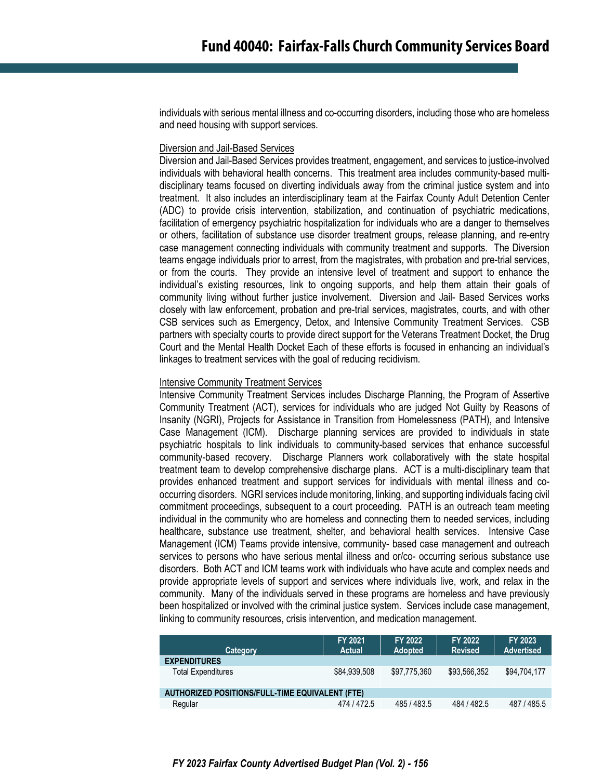individuals with serious mental illness and co-occurring disorders, including those who are homeless and need housing with support services.

#### Diversion and Jail-Based Services

Diversion and Jail-Based Services provides treatment, engagement, and services to justice-involved individuals with behavioral health concerns. This treatment area includes community-based multidisciplinary teams focused on diverting individuals away from the criminal justice system and into treatment. It also includes an interdisciplinary team at the Fairfax County Adult Detention Center (ADC) to provide crisis intervention, stabilization, and continuation of psychiatric medications, facilitation of emergency psychiatric hospitalization for individuals who are a danger to themselves or others, facilitation of substance use disorder treatment groups, release planning, and re-entry case management connecting individuals with community treatment and supports. The Diversion teams engage individuals prior to arrest, from the magistrates, with probation and pre-trial services, or from the courts. They provide an intensive level of treatment and support to enhance the individual's existing resources, link to ongoing supports, and help them attain their goals of community living without further justice involvement. Diversion and Jail- Based Services works closely with law enforcement, probation and pre-trial services, magistrates, courts, and with other CSB services such as Emergency, Detox, and Intensive Community Treatment Services. CSB partners with specialty courts to provide direct support for the Veterans Treatment Docket, the Drug Court and the Mental Health Docket Each of these efforts is focused in enhancing an individual's linkages to treatment services with the goal of reducing recidivism.

#### Intensive Community Treatment Services

Intensive Community Treatment Services includes Discharge Planning, the Program of Assertive Community Treatment (ACT), services for individuals who are judged Not Guilty by Reasons of Insanity (NGRI), Projects for Assistance in Transition from Homelessness (PATH), and Intensive Case Management (ICM). Discharge planning services are provided to individuals in state psychiatric hospitals to link individuals to community-based services that enhance successful community-based recovery. Discharge Planners work collaboratively with the state hospital treatment team to develop comprehensive discharge plans. ACT is a multi-disciplinary team that provides enhanced treatment and support services for individuals with mental illness and cooccurring disorders. NGRI services include monitoring, linking, and supporting individuals facing civil commitment proceedings, subsequent to a court proceeding. PATH is an outreach team meeting individual in the community who are homeless and connecting them to needed services, including healthcare, substance use treatment, shelter, and behavioral health services. Intensive Case Management (ICM) Teams provide intensive, community- based case management and outreach services to persons who have serious mental illness and or/co- occurring serious substance use disorders. Both ACT and ICM teams work with individuals who have acute and complex needs and provide appropriate levels of support and services where individuals live, work, and relax in the community. Many of the individuals served in these programs are homeless and have previously been hospitalized or involved with the criminal justice system. Services include case management, linking to community resources, crisis intervention, and medication management.

| Category                                               | FY 2021<br><b>Actual</b> | <b>FY 2022</b><br><b>Adopted</b> | FY 2022<br><b>Revised</b> | <b>FY 2023</b><br><b>Advertised</b> |
|--------------------------------------------------------|--------------------------|----------------------------------|---------------------------|-------------------------------------|
| <b>EXPENDITURES</b>                                    |                          |                                  |                           |                                     |
| <b>Total Expenditures</b>                              | \$84,939,508             | \$97.775.360                     | \$93,566,352              | \$94,704,177                        |
|                                                        |                          |                                  |                           |                                     |
| <b>AUTHORIZED POSITIONS/FULL-TIME EQUIVALENT (FTE)</b> |                          |                                  |                           |                                     |
| Regular                                                | 474 / 472.5              | 485/483.5                        | 484 / 482.5               | 487 / 485.5                         |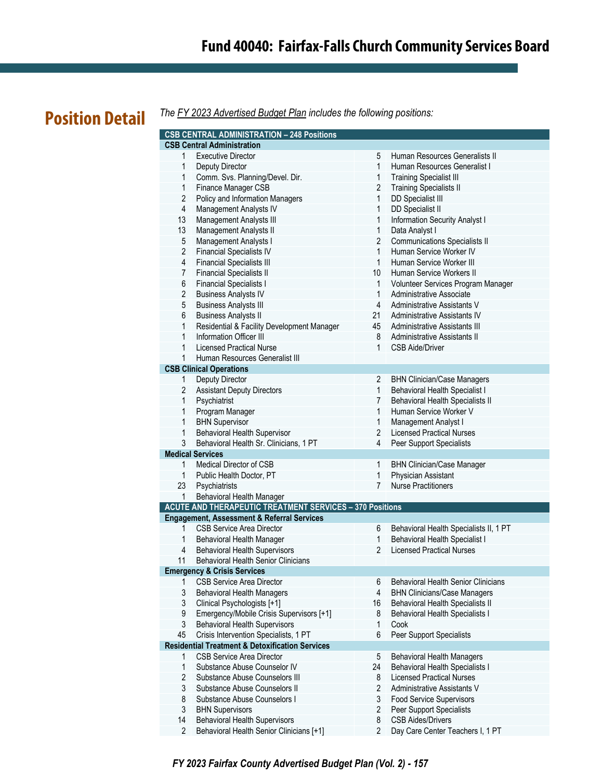# **Fund 40040: Fairfax-Falls Church Community Services Board**

# **Position Detail**

*The FY 2023 Advertised Budget Plan includes the following positions:*

|                | <b>CSB CENTRAL ADMINISTRATION - 248 Positions</b>                            |                 |                                                        |
|----------------|------------------------------------------------------------------------------|-----------------|--------------------------------------------------------|
|                | <b>CSB Central Administration</b>                                            |                 |                                                        |
| 1              | <b>Executive Director</b>                                                    | 5               | Human Resources Generalists II                         |
| 1              | Deputy Director                                                              | 1               | Human Resources Generalist I                           |
| 1              | Comm. Svs. Planning/Devel. Dir.                                              | $\mathbf{1}$    | <b>Training Specialist III</b>                         |
| 1              | Finance Manager CSB                                                          | $\overline{2}$  | <b>Training Specialists II</b>                         |
| $\overline{2}$ | Policy and Information Managers                                              | $\mathbf{1}$    | DD Specialist III                                      |
| 4              | Management Analysts IV                                                       | $\mathbf{1}$    | DD Specialist II                                       |
| 13             | Management Analysts III                                                      | $\mathbf{1}$    | Information Security Analyst I                         |
| 13             | <b>Management Analysts II</b>                                                | $\mathbf{1}$    | Data Analyst I                                         |
| 5              | Management Analysts I                                                        | $\overline{2}$  | <b>Communications Specialists II</b>                   |
| $\overline{2}$ | <b>Financial Specialists IV</b>                                              | $\mathbf{1}$    | Human Service Worker IV                                |
| 4              | <b>Financial Specialists III</b>                                             | $\mathbf{1}$    | Human Service Worker III                               |
| $\overline{7}$ | <b>Financial Specialists II</b>                                              | 10 <sup>1</sup> | Human Service Workers II                               |
| 6              | <b>Financial Specialists I</b>                                               | 1               | Volunteer Services Program Manager                     |
| $\overline{2}$ | <b>Business Analysts IV</b>                                                  | $\mathbf{1}$    | Administrative Associate                               |
| $\mathbf 5$    | <b>Business Analysts III</b>                                                 | 4               | Administrative Assistants V                            |
| 6              | <b>Business Analysts II</b>                                                  | 21              | <b>Administrative Assistants IV</b>                    |
| $\mathbf{1}$   |                                                                              | 45              | Administrative Assistants III                          |
| $\mathbf{1}$   | Residential & Facility Development Manager<br><b>Information Officer III</b> | 8               |                                                        |
|                |                                                                              |                 | Administrative Assistants II<br><b>CSB Aide/Driver</b> |
| $\mathbf{1}$   | Licensed Practical Nurse                                                     | 1               |                                                        |
| $\mathbf{1}$   | Human Resources Generalist III                                               |                 |                                                        |
|                | <b>CSB Clinical Operations</b>                                               | $\overline{2}$  |                                                        |
| $\mathbf{1}$   | Deputy Director                                                              |                 | <b>BHN Clinician/Case Managers</b>                     |
| 2              | <b>Assistant Deputy Directors</b>                                            | $\mathbf{1}$    | Behavioral Health Specialist I                         |
| 1              | Psychiatrist                                                                 | 7               | Behavioral Health Specialists II                       |
| 1              | Program Manager                                                              | 1               | Human Service Worker V                                 |
| 1              | <b>BHN Supervisor</b>                                                        | $\mathbf{1}$    | Management Analyst I                                   |
| $\mathbf{1}$   | Behavioral Health Supervisor                                                 | $\overline{2}$  | <b>Licensed Practical Nurses</b>                       |
| 3              | Behavioral Health Sr. Clinicians, 1 PT                                       | 4               | Peer Support Specialists                               |
|                | <b>Medical Services</b>                                                      |                 |                                                        |
| 1              | Medical Director of CSB                                                      | $\mathbf{1}$    | <b>BHN Clinician/Case Manager</b>                      |
| $\mathbf{1}$   | Public Health Doctor, PT                                                     | $\mathbf{1}$    | Physician Assistant                                    |
| 23             | Psychiatrists                                                                | $\overline{7}$  | <b>Nurse Practitioners</b>                             |
| 1              | Behavioral Health Manager                                                    |                 |                                                        |
|                | <b>ACUTE AND THERAPEUTIC TREATMENT SERVICES - 370 Positions</b>              |                 |                                                        |
|                | <b>Engagement, Assessment &amp; Referral Services</b>                        |                 |                                                        |
| 1              | <b>CSB Service Area Director</b>                                             | 6               | Behavioral Health Specialists II, 1 PT                 |
| $\mathbf{1}$   | Behavioral Health Manager                                                    | $\mathbf{1}$    | <b>Behavioral Health Specialist I</b>                  |
| 4              | <b>Behavioral Health Supervisors</b>                                         | $\overline{2}$  | <b>Licensed Practical Nurses</b>                       |
| 11             | <b>Behavioral Health Senior Clinicians</b>                                   |                 |                                                        |
|                | <b>Emergency &amp; Crisis Services</b>                                       |                 |                                                        |
| 1              | <b>CSB Service Area Director</b>                                             | 6               | <b>Behavioral Health Senior Clinicians</b>             |
| 3              | <b>Behavioral Health Managers</b>                                            | 4               | <b>BHN Clinicians/Case Managers</b>                    |
| 3              | Clinical Psychologists [+1]                                                  | 16              | Behavioral Health Specialists II                       |
| 9              | Emergency/Mobile Crisis Supervisors [+1]                                     | 8               | <b>Behavioral Health Specialists I</b>                 |
| 3              | <b>Behavioral Health Supervisors</b>                                         | $\mathbf{1}$    | Cook                                                   |
| 45             | Crisis Intervention Specialists, 1 PT                                        | 6               | Peer Support Specialists                               |
|                | <b>Residential Treatment &amp; Detoxification Services</b>                   |                 |                                                        |
| 1              | <b>CSB Service Area Director</b>                                             | 5               | <b>Behavioral Health Managers</b>                      |
| 1              | Substance Abuse Counselor IV                                                 | 24              | <b>Behavioral Health Specialists I</b>                 |
| $\overline{2}$ | Substance Abuse Counselors III                                               | 8               | <b>Licensed Practical Nurses</b>                       |
| 3              | Substance Abuse Counselors II                                                | $\overline{2}$  | Administrative Assistants V                            |
| 8              | Substance Abuse Counselors I                                                 | 3               | <b>Food Service Supervisors</b>                        |
| 3              | <b>BHN Supervisors</b>                                                       | 2               | Peer Support Specialists                               |
| 14             | <b>Behavioral Health Supervisors</b>                                         | 8               | <b>CSB Aides/Drivers</b>                               |
| $\overline{2}$ | Behavioral Health Senior Clinicians [+1]                                     | $\overline{2}$  | Day Care Center Teachers I, 1 PT                       |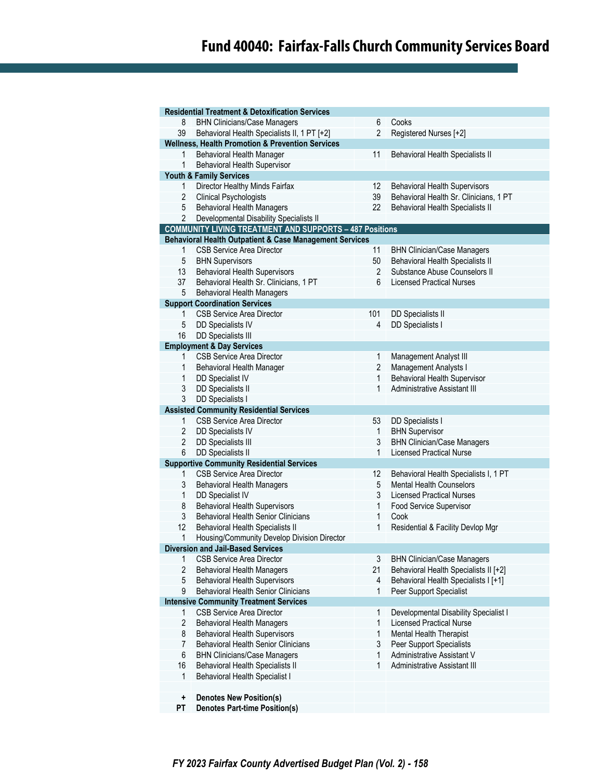# **Fund 40040: Fairfax-Falls Church Community Services Board**

|                | <b>Residential Treatment &amp; Detoxification Services</b>                         |                |                                        |
|----------------|------------------------------------------------------------------------------------|----------------|----------------------------------------|
| 8              | <b>BHN Clinicians/Case Managers</b>                                                | 6              | Cooks                                  |
| 39             | Behavioral Health Specialists II, 1 PT [+2]                                        | $\overline{2}$ | Registered Nurses [+2]                 |
|                | <b>Wellness, Health Promotion &amp; Prevention Services</b>                        |                |                                        |
| 1              | Behavioral Health Manager                                                          | 11             | Behavioral Health Specialists II       |
| 1              | <b>Behavioral Health Supervisor</b>                                                |                |                                        |
|                | Youth & Family Services                                                            |                |                                        |
| 1              | Director Healthy Minds Fairfax                                                     | 12             | <b>Behavioral Health Supervisors</b>   |
| $\overline{2}$ | <b>Clinical Psychologists</b>                                                      | 39             | Behavioral Health Sr. Clinicians, 1 PT |
| 5              | <b>Behavioral Health Managers</b>                                                  | 22             | Behavioral Health Specialists II       |
| $\overline{2}$ |                                                                                    |                |                                        |
|                | Developmental Disability Specialists II                                            |                |                                        |
|                | <b>COMMUNITY LIVING TREATMENT AND SUPPORTS - 487 Positions</b>                     |                |                                        |
|                | Behavioral Health Outpatient & Case Management Services                            |                |                                        |
| 1              | <b>CSB Service Area Director</b>                                                   | 11             | <b>BHN Clinician/Case Managers</b>     |
| 5              | <b>BHN Supervisors</b>                                                             | 50             | Behavioral Health Specialists II       |
| 13             | <b>Behavioral Health Supervisors</b>                                               | 2              | Substance Abuse Counselors II          |
| 37             | Behavioral Health Sr. Clinicians, 1 PT                                             | 6              | <b>Licensed Practical Nurses</b>       |
| 5              | <b>Behavioral Health Managers</b>                                                  |                |                                        |
|                | <b>Support Coordination Services</b>                                               |                |                                        |
| 1              | <b>CSB Service Area Director</b>                                                   | 101            | DD Specialists II                      |
| 5              | <b>DD Specialists IV</b>                                                           | 4              | DD Specialists I                       |
| 16             | <b>DD Specialists III</b>                                                          |                |                                        |
|                | <b>Employment &amp; Day Services</b>                                               |                |                                        |
| 1              | <b>CSB Service Area Director</b>                                                   | 1              | Management Analyst III                 |
| 1              | Behavioral Health Manager                                                          | 2              | Management Analysts I                  |
| 1              | <b>DD Specialist IV</b>                                                            | 1              | Behavioral Health Supervisor           |
| 3              | DD Specialists II                                                                  | 1              | Administrative Assistant III           |
| 3              | <b>DD Specialists I</b>                                                            |                |                                        |
|                | <b>Assisted Community Residential Services</b>                                     |                |                                        |
| 1              | <b>CSB Service Area Director</b>                                                   | 53             | DD Specialists I                       |
| 2              | <b>DD Specialists IV</b>                                                           | 1              | <b>BHN Supervisor</b>                  |
| $\overline{2}$ | <b>DD Specialists III</b>                                                          | 3              | <b>BHN Clinician/Case Managers</b>     |
| 6              | <b>DD Specialists II</b>                                                           | 1              | <b>Licensed Practical Nurse</b>        |
|                | <b>Supportive Community Residential Services</b>                                   |                |                                        |
| 1              | <b>CSB Service Area Director</b>                                                   | 12             | Behavioral Health Specialists I, 1 PT  |
| 3              | <b>Behavioral Health Managers</b>                                                  | 5              | <b>Mental Health Counselors</b>        |
| 1              | DD Specialist IV                                                                   | 3              | <b>Licensed Practical Nurses</b>       |
| 8              |                                                                                    | 1              | Food Service Supervisor                |
| 3              | <b>Behavioral Health Supervisors</b><br><b>Behavioral Health Senior Clinicians</b> | 1              |                                        |
|                |                                                                                    |                | Cook                                   |
| 12             | Behavioral Health Specialists II                                                   | 1              | Residential & Facility Devlop Mgr      |
| 1              | Housing/Community Develop Division Director                                        |                |                                        |
|                | <b>Diversion and Jail-Based Services</b>                                           |                |                                        |
| 1              | <b>CSB Service Area Director</b>                                                   | 3              | <b>BHN Clinician/Case Managers</b>     |
| $\overline{2}$ | <b>Behavioral Health Managers</b>                                                  | 21             | Behavioral Health Specialists II [+2]  |
| 5              | <b>Behavioral Health Supervisors</b>                                               | 4              | Behavioral Health Specialists I [+1]   |
| 9              | <b>Behavioral Health Senior Clinicians</b>                                         | 1              | Peer Support Specialist                |
|                | <b>Intensive Community Treatment Services</b>                                      |                |                                        |
| 1              | <b>CSB Service Area Director</b>                                                   | 1              | Developmental Disability Specialist I  |
| 2              | <b>Behavioral Health Managers</b>                                                  | 1              | <b>Licensed Practical Nurse</b>        |
| 8              | <b>Behavioral Health Supervisors</b>                                               | 1              | Mental Health Therapist                |
| 7              | <b>Behavioral Health Senior Clinicians</b>                                         | 3              | Peer Support Specialists               |
| 6              | <b>BHN Clinicians/Case Managers</b>                                                | 1              | Administrative Assistant V             |
| 16             | <b>Behavioral Health Specialists II</b>                                            | 1              | <b>Administrative Assistant III</b>    |
| 1              | <b>Behavioral Health Specialist I</b>                                              |                |                                        |
|                |                                                                                    |                |                                        |
| +              | <b>Denotes New Position(s)</b>                                                     |                |                                        |
| PT             | <b>Denotes Part-time Position(s)</b>                                               |                |                                        |
|                |                                                                                    |                |                                        |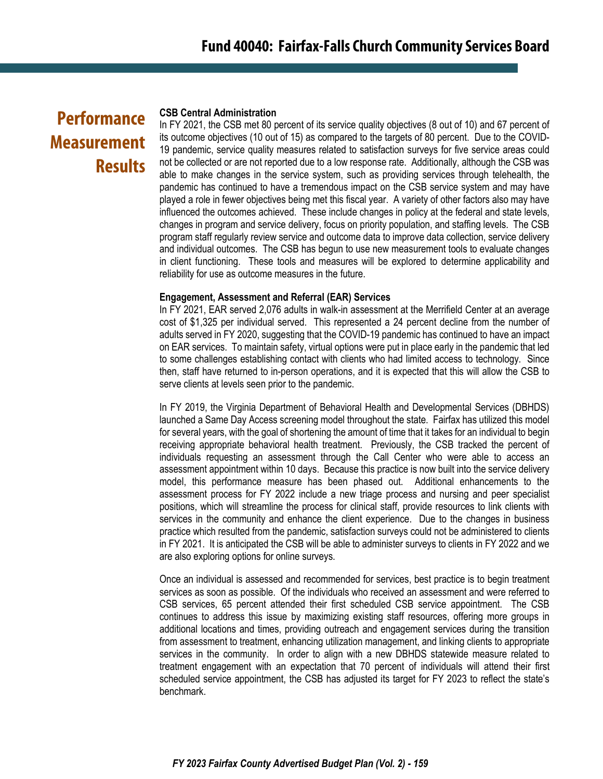# **Performance Measurement Results**

#### **CSB Central Administration**

In FY 2021, the CSB met 80 percent of its service quality objectives (8 out of 10) and 67 percent of its outcome objectives (10 out of 15) as compared to the targets of 80 percent. Due to the COVID-19 pandemic, service quality measures related to satisfaction surveys for five service areas could not be collected or are not reported due to a low response rate. Additionally, although the CSB was able to make changes in the service system, such as providing services through telehealth, the pandemic has continued to have a tremendous impact on the CSB service system and may have played a role in fewer objectives being met this fiscal year. A variety of other factors also may have influenced the outcomes achieved. These include changes in policy at the federal and state levels, changes in program and service delivery, focus on priority population, and staffing levels. The CSB program staff regularly review service and outcome data to improve data collection, service delivery and individual outcomes. The CSB has begun to use new measurement tools to evaluate changes in client functioning. These tools and measures will be explored to determine applicability and reliability for use as outcome measures in the future.

#### **Engagement, Assessment and Referral (EAR) Services**

In FY 2021, EAR served 2,076 adults in walk-in assessment at the Merrifield Center at an average cost of \$1,325 per individual served. This represented a 24 percent decline from the number of adults served in FY 2020, suggesting that the COVID-19 pandemic has continued to have an impact on EAR services. To maintain safety, virtual options were put in place early in the pandemic that led to some challenges establishing contact with clients who had limited access to technology. Since then, staff have returned to in-person operations, and it is expected that this will allow the CSB to serve clients at levels seen prior to the pandemic.

In FY 2019, the Virginia Department of Behavioral Health and Developmental Services (DBHDS) launched a Same Day Access screening model throughout the state. Fairfax has utilized this model for several years, with the goal of shortening the amount of time that it takes for an individual to begin receiving appropriate behavioral health treatment. Previously, the CSB tracked the percent of individuals requesting an assessment through the Call Center who were able to access an assessment appointment within 10 days. Because this practice is now built into the service delivery model, this performance measure has been phased out. Additional enhancements to the assessment process for FY 2022 include a new triage process and nursing and peer specialist positions, which will streamline the process for clinical staff, provide resources to link clients with services in the community and enhance the client experience. Due to the changes in business practice which resulted from the pandemic, satisfaction surveys could not be administered to clients in FY 2021. It is anticipated the CSB will be able to administer surveys to clients in FY 2022 and we are also exploring options for online surveys.

Once an individual is assessed and recommended for services, best practice is to begin treatment services as soon as possible. Of the individuals who received an assessment and were referred to CSB services, 65 percent attended their first scheduled CSB service appointment. The CSB continues to address this issue by maximizing existing staff resources, offering more groups in additional locations and times, providing outreach and engagement services during the transition from assessment to treatment, enhancing utilization management, and linking clients to appropriate services in the community. In order to align with a new DBHDS statewide measure related to treatment engagement with an expectation that 70 percent of individuals will attend their first scheduled service appointment, the CSB has adjusted its target for FY 2023 to reflect the state's benchmark.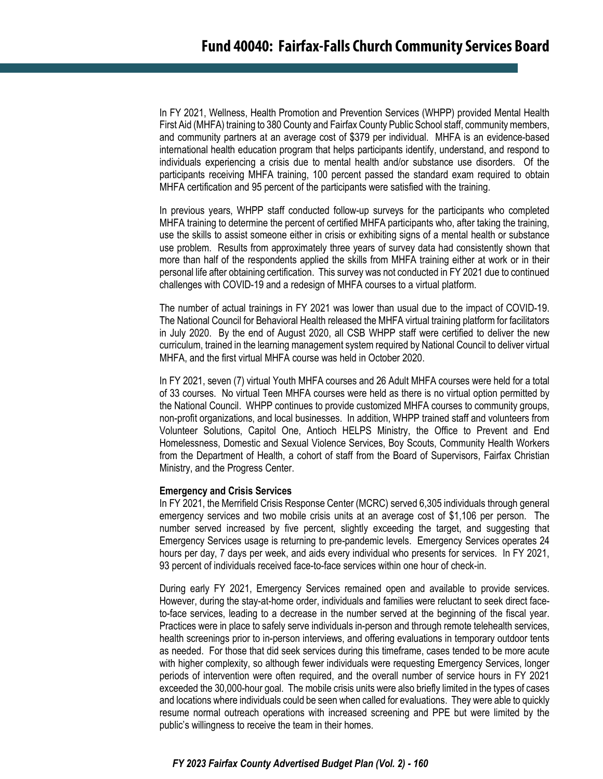In FY 2021, Wellness, Health Promotion and Prevention Services (WHPP) provided Mental Health First Aid (MHFA) training to 380 County and Fairfax County Public School staff, community members, and community partners at an average cost of \$379 per individual. MHFA is an evidence-based international health education program that helps participants identify, understand, and respond to individuals experiencing a crisis due to mental health and/or substance use disorders. Of the participants receiving MHFA training, 100 percent passed the standard exam required to obtain MHFA certification and 95 percent of the participants were satisfied with the training.

In previous years, WHPP staff conducted follow-up surveys for the participants who completed MHFA training to determine the percent of certified MHFA participants who, after taking the training, use the skills to assist someone either in crisis or exhibiting signs of a mental health or substance use problem. Results from approximately three years of survey data had consistently shown that more than half of the respondents applied the skills from MHFA training either at work or in their personal life after obtaining certification. This survey was not conducted in FY 2021 due to continued challenges with COVID-19 and a redesign of MHFA courses to a virtual platform.

The number of actual trainings in FY 2021 was lower than usual due to the impact of COVID-19. The National Council for Behavioral Health released the MHFA virtual training platform for facilitators in July 2020. By the end of August 2020, all CSB WHPP staff were certified to deliver the new curriculum, trained in the learning management system required by National Council to deliver virtual MHFA, and the first virtual MHFA course was held in October 2020.

In FY 2021, seven (7) virtual Youth MHFA courses and 26 Adult MHFA courses were held for a total of 33 courses. No virtual Teen MHFA courses were held as there is no virtual option permitted by the National Council. WHPP continues to provide customized MHFA courses to community groups, non-profit organizations, and local businesses. In addition, WHPP trained staff and volunteers from Volunteer Solutions, Capitol One, Antioch HELPS Ministry, the Office to Prevent and End Homelessness, Domestic and Sexual Violence Services, Boy Scouts, Community Health Workers from the Department of Health, a cohort of staff from the Board of Supervisors, Fairfax Christian Ministry, and the Progress Center.

#### **Emergency and Crisis Services**

In FY 2021, the Merrifield Crisis Response Center (MCRC) served 6,305 individuals through general emergency services and two mobile crisis units at an average cost of \$1,106 per person. The number served increased by five percent, slightly exceeding the target, and suggesting that Emergency Services usage is returning to pre-pandemic levels. Emergency Services operates 24 hours per day, 7 days per week, and aids every individual who presents for services. In FY 2021, 93 percent of individuals received face-to-face services within one hour of check-in.

During early FY 2021, Emergency Services remained open and available to provide services. However, during the stay-at-home order, individuals and families were reluctant to seek direct faceto-face services, leading to a decrease in the number served at the beginning of the fiscal year. Practices were in place to safely serve individuals in-person and through remote telehealth services, health screenings prior to in-person interviews, and offering evaluations in temporary outdoor tents as needed. For those that did seek services during this timeframe, cases tended to be more acute with higher complexity, so although fewer individuals were requesting Emergency Services, longer periods of intervention were often required, and the overall number of service hours in FY 2021 exceeded the 30,000-hour goal. The mobile crisis units were also briefly limited in the types of cases and locations where individuals could be seen when called for evaluations. They were able to quickly resume normal outreach operations with increased screening and PPE but were limited by the public's willingness to receive the team in their homes.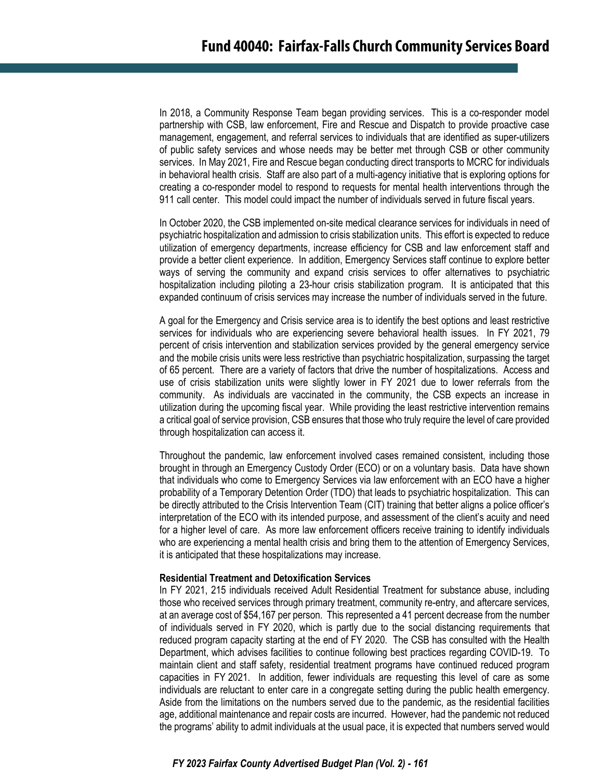In 2018, a Community Response Team began providing services. This is a co-responder model partnership with CSB, law enforcement, Fire and Rescue and Dispatch to provide proactive case management, engagement, and referral services to individuals that are identified as super-utilizers of public safety services and whose needs may be better met through CSB or other community services. In May 2021, Fire and Rescue began conducting direct transports to MCRC for individuals in behavioral health crisis. Staff are also part of a multi-agency initiative that is exploring options for creating a co-responder model to respond to requests for mental health interventions through the 911 call center. This model could impact the number of individuals served in future fiscal years.

In October 2020, the CSB implemented on-site medical clearance services for individuals in need of psychiatric hospitalization and admission to crisis stabilization units. This effort is expected to reduce utilization of emergency departments, increase efficiency for CSB and law enforcement staff and provide a better client experience. In addition, Emergency Services staff continue to explore better ways of serving the community and expand crisis services to offer alternatives to psychiatric hospitalization including piloting a 23-hour crisis stabilization program. It is anticipated that this expanded continuum of crisis services may increase the number of individuals served in the future.

A goal for the Emergency and Crisis service area is to identify the best options and least restrictive services for individuals who are experiencing severe behavioral health issues. In FY 2021, 79 percent of crisis intervention and stabilization services provided by the general emergency service and the mobile crisis units were less restrictive than psychiatric hospitalization, surpassing the target of 65 percent. There are a variety of factors that drive the number of hospitalizations. Access and use of crisis stabilization units were slightly lower in FY 2021 due to lower referrals from the community. As individuals are vaccinated in the community, the CSB expects an increase in utilization during the upcoming fiscal year. While providing the least restrictive intervention remains a critical goal of service provision, CSB ensures that those who truly require the level of care provided through hospitalization can access it.

Throughout the pandemic, law enforcement involved cases remained consistent, including those brought in through an Emergency Custody Order (ECO) or on a voluntary basis. Data have shown that individuals who come to Emergency Services via law enforcement with an ECO have a higher probability of a Temporary Detention Order (TDO) that leads to psychiatric hospitalization. This can be directly attributed to the Crisis Intervention Team (CIT) training that better aligns a police officer's interpretation of the ECO with its intended purpose, and assessment of the client's acuity and need for a higher level of care. As more law enforcement officers receive training to identify individuals who are experiencing a mental health crisis and bring them to the attention of Emergency Services, it is anticipated that these hospitalizations may increase.

#### **Residential Treatment and Detoxification Services**

In FY 2021, 215 individuals received Adult Residential Treatment for substance abuse, including those who received services through primary treatment, community re-entry, and aftercare services, at an average cost of \$54,167 per person. This represented a 41 percent decrease from the number of individuals served in FY 2020, which is partly due to the social distancing requirements that reduced program capacity starting at the end of FY 2020. The CSB has consulted with the Health Department, which advises facilities to continue following best practices regarding COVID-19. To maintain client and staff safety, residential treatment programs have continued reduced program capacities in FY 2021. In addition, fewer individuals are requesting this level of care as some individuals are reluctant to enter care in a congregate setting during the public health emergency. Aside from the limitations on the numbers served due to the pandemic, as the residential facilities age, additional maintenance and repair costs are incurred. However, had the pandemic not reduced the programs' ability to admit individuals at the usual pace, it is expected that numbers served would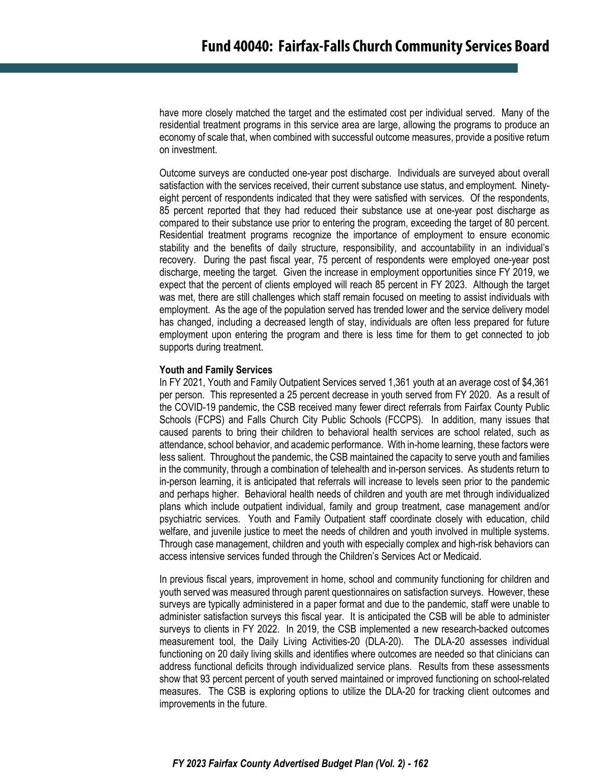have more closely matched the target and the estimated cost per individual served. Many of the residential treatment programs in this service area are large, allowing the programs to produce an economy of scale that, when combined with successful outcome measures, provide a positive return on investment.

Outcome surveys are conducted one-year post discharge. Individuals are surveyed about overall satisfaction with the services received, their current substance use status, and employment. Ninetyeight percent of respondents indicated that they were satisfied with services. Of the respondents, 85 percent reported that they had reduced their substance use at one-year post discharge as compared to their substance use prior to entering the program, exceeding the target of 80 percent. Residential treatment programs recognize the importance of employment to ensure economic stability and the benefits of daily structure, responsibility, and accountability in an individual's recovery. During the past fiscal year, 75 percent of respondents were employed one-year post discharge, meeting the target. Given the increase in employment opportunities since FY 2019, we expect that the percent of clients employed will reach 85 percent in FY 2023. Although the target was met, there are still challenges which staff remain focused on meeting to assist individuals with employment. As the age of the population served has trended lower and the service delivery model has changed, including a decreased length of stay, individuals are often less prepared for future employment upon entering the program and there is less time for them to get connected to job supports during treatment.

#### **Youth and Family Services**

In FY 2021, Youth and Family Outpatient Services served 1,361 youth at an average cost of \$4,361 per person. This represented a 25 percent decrease in youth served from FY 2020. As a result of the COVID-19 pandemic, the CSB received many fewer direct referrals from Fairfax County Public Schools (FCPS) and Falls Church City Public Schools (FCCPS). In addition, many issues that caused parents to bring their children to behavioral health services are school related, such as attendance, school behavior, and academic performance. With in-home learning, these factors were less salient. Throughout the pandemic, the CSB maintained the capacity to serve youth and families in the community, through a combination of telehealth and in-person services. As students return to in-person learning, it is anticipated that referrals will increase to levels seen prior to the pandemic and perhaps higher. Behavioral health needs of children and youth are met through individualized plans which include outpatient individual, family and group treatment, case management and/or psychiatric services. Youth and Family Outpatient staff coordinate closely with education, child welfare, and juvenile justice to meet the needs of children and youth involved in multiple systems. Through case management, children and youth with especially complex and high-risk behaviors can access intensive services funded through the Children's Services Act or Medicaid.

In previous fiscal years, improvement in home, school and community functioning for children and youth served was measured through parent questionnaires on satisfaction surveys. However, these surveys are typically administered in a paper format and due to the pandemic, staff were unable to administer satisfaction surveys this fiscal year. It is anticipated the CSB will be able to administer surveys to clients in FY 2022. In 2019, the CSB implemented a new research-backed outcomes measurement tool, the Daily Living Activities-20 (DLA-20). The DLA-20 assesses individual functioning on 20 daily living skills and identifies where outcomes are needed so that clinicians can address functional deficits through individualized service plans. Results from these assessments show that 93 percent percent of youth served maintained or improved functioning on school-related measures. The CSB is exploring options to utilize the DLA-20 for tracking client outcomes and improvements in the future.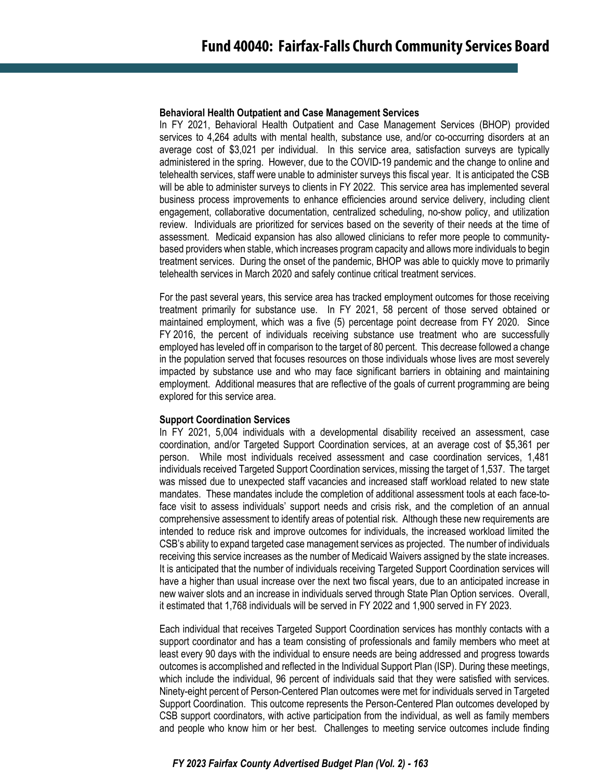#### **Behavioral Health Outpatient and Case Management Services**

In FY 2021, Behavioral Health Outpatient and Case Management Services (BHOP) provided services to 4,264 adults with mental health, substance use, and/or co-occurring disorders at an average cost of \$3,021 per individual. In this service area, satisfaction surveys are typically administered in the spring. However, due to the COVID-19 pandemic and the change to online and telehealth services, staff were unable to administer surveys this fiscal year. It is anticipated the CSB will be able to administer surveys to clients in FY 2022. This service area has implemented several business process improvements to enhance efficiencies around service delivery, including client engagement, collaborative documentation, centralized scheduling, no-show policy, and utilization review. Individuals are prioritized for services based on the severity of their needs at the time of assessment. Medicaid expansion has also allowed clinicians to refer more people to communitybased providers when stable, which increases program capacity and allows more individuals to begin treatment services. During the onset of the pandemic, BHOP was able to quickly move to primarily telehealth services in March 2020 and safely continue critical treatment services.

For the past several years, this service area has tracked employment outcomes for those receiving treatment primarily for substance use. In FY 2021, 58 percent of those served obtained or maintained employment, which was a five (5) percentage point decrease from FY 2020. Since FY 2016, the percent of individuals receiving substance use treatment who are successfully employed has leveled off in comparison to the target of 80 percent. This decrease followed a change in the population served that focuses resources on those individuals whose lives are most severely impacted by substance use and who may face significant barriers in obtaining and maintaining employment. Additional measures that are reflective of the goals of current programming are being explored for this service area.

#### **Support Coordination Services**

In FY 2021, 5,004 individuals with a developmental disability received an assessment, case coordination, and/or Targeted Support Coordination services, at an average cost of \$5,361 per person. While most individuals received assessment and case coordination services, 1,481 individuals received Targeted Support Coordination services, missing the target of 1,537. The target was missed due to unexpected staff vacancies and increased staff workload related to new state mandates. These mandates include the completion of additional assessment tools at each face-toface visit to assess individuals' support needs and crisis risk, and the completion of an annual comprehensive assessment to identify areas of potential risk. Although these new requirements are intended to reduce risk and improve outcomes for individuals, the increased workload limited the CSB's ability to expand targeted case management services as projected. The number of individuals receiving this service increases as the number of Medicaid Waivers assigned by the state increases. It is anticipated that the number of individuals receiving Targeted Support Coordination services will have a higher than usual increase over the next two fiscal years, due to an anticipated increase in new waiver slots and an increase in individuals served through State Plan Option services. Overall, it estimated that 1,768 individuals will be served in FY 2022 and 1,900 served in FY 2023.

Each individual that receives Targeted Support Coordination services has monthly contacts with a support coordinator and has a team consisting of professionals and family members who meet at least every 90 days with the individual to ensure needs are being addressed and progress towards outcomes is accomplished and reflected in the Individual Support Plan (ISP). During these meetings, which include the individual, 96 percent of individuals said that they were satisfied with services. Ninety-eight percent of Person-Centered Plan outcomes were met for individuals served in Targeted Support Coordination. This outcome represents the Person-Centered Plan outcomes developed by CSB support coordinators, with active participation from the individual, as well as family members and people who know him or her best. Challenges to meeting service outcomes include finding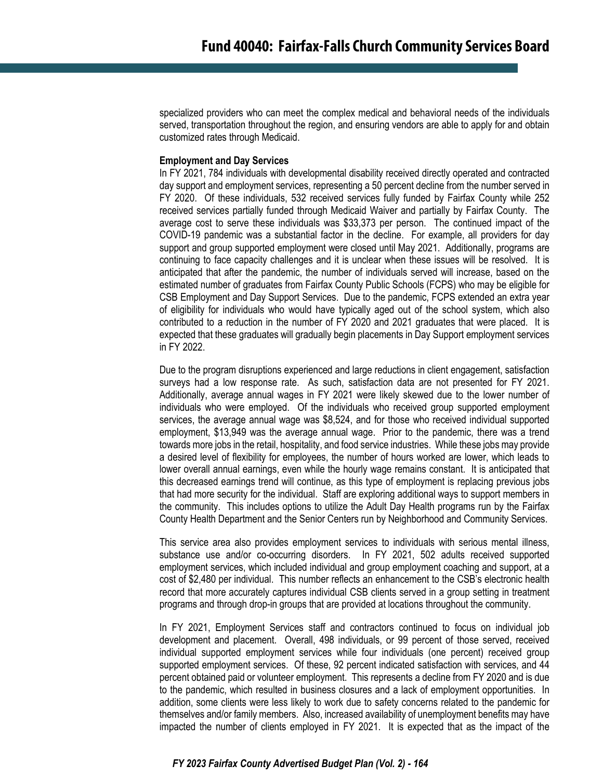specialized providers who can meet the complex medical and behavioral needs of the individuals served, transportation throughout the region, and ensuring vendors are able to apply for and obtain customized rates through Medicaid.

#### **Employment and Day Services**

In FY 2021, 784 individuals with developmental disability received directly operated and contracted day support and employment services, representing a 50 percent decline from the number served in FY 2020. Of these individuals, 532 received services fully funded by Fairfax County while 252 received services partially funded through Medicaid Waiver and partially by Fairfax County. The average cost to serve these individuals was \$33,373 per person. The continued impact of the COVID-19 pandemic was a substantial factor in the decline. For example, all providers for day support and group supported employment were closed until May 2021. Additionally, programs are continuing to face capacity challenges and it is unclear when these issues will be resolved. It is anticipated that after the pandemic, the number of individuals served will increase, based on the estimated number of graduates from Fairfax County Public Schools (FCPS) who may be eligible for CSB Employment and Day Support Services. Due to the pandemic, FCPS extended an extra year of eligibility for individuals who would have typically aged out of the school system, which also contributed to a reduction in the number of FY 2020 and 2021 graduates that were placed. It is expected that these graduates will gradually begin placements in Day Support employment services in FY 2022.

Due to the program disruptions experienced and large reductions in client engagement, satisfaction surveys had a low response rate. As such, satisfaction data are not presented for FY 2021. Additionally, average annual wages in FY 2021 were likely skewed due to the lower number of individuals who were employed. Of the individuals who received group supported employment services, the average annual wage was \$8,524, and for those who received individual supported employment, \$13,949 was the average annual wage. Prior to the pandemic, there was a trend towards more jobs in the retail, hospitality, and food service industries. While these jobs may provide a desired level of flexibility for employees, the number of hours worked are lower, which leads to lower overall annual earnings, even while the hourly wage remains constant. It is anticipated that this decreased earnings trend will continue, as this type of employment is replacing previous jobs that had more security for the individual. Staff are exploring additional ways to support members in the community. This includes options to utilize the Adult Day Health programs run by the Fairfax County Health Department and the Senior Centers run by Neighborhood and Community Services.

This service area also provides employment services to individuals with serious mental illness, substance use and/or co-occurring disorders. In FY 2021, 502 adults received supported employment services, which included individual and group employment coaching and support, at a cost of \$2,480 per individual. This number reflects an enhancement to the CSB's electronic health record that more accurately captures individual CSB clients served in a group setting in treatment programs and through drop-in groups that are provided at locations throughout the community.

In FY 2021, Employment Services staff and contractors continued to focus on individual job development and placement. Overall, 498 individuals, or 99 percent of those served, received individual supported employment services while four individuals (one percent) received group supported employment services. Of these, 92 percent indicated satisfaction with services, and 44 percent obtained paid or volunteer employment. This represents a decline from FY 2020 and is due to the pandemic, which resulted in business closures and a lack of employment opportunities. In addition, some clients were less likely to work due to safety concerns related to the pandemic for themselves and/or family members. Also, increased availability of unemployment benefits may have impacted the number of clients employed in FY 2021. It is expected that as the impact of the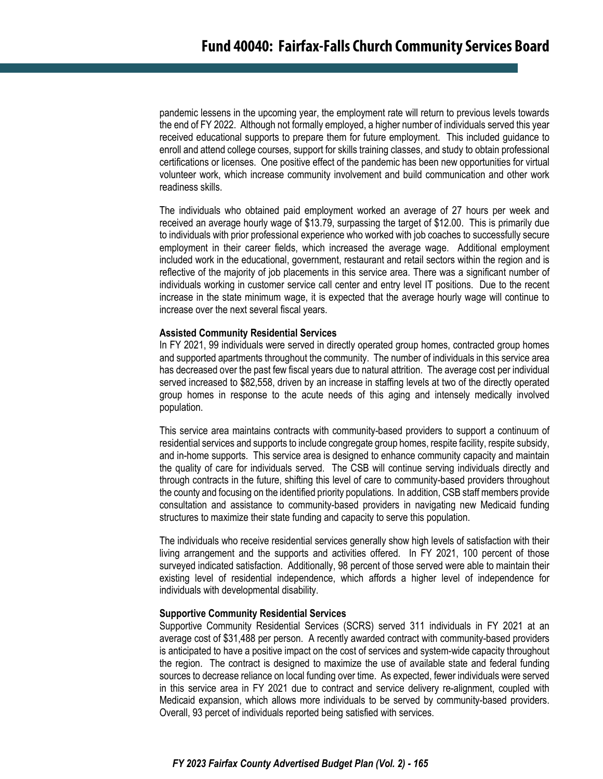pandemic lessens in the upcoming year, the employment rate will return to previous levels towards the end of FY 2022. Although not formally employed, a higher number of individuals served this year received educational supports to prepare them for future employment. This included guidance to enroll and attend college courses, support for skills training classes, and study to obtain professional certifications or licenses. One positive effect of the pandemic has been new opportunities for virtual volunteer work, which increase community involvement and build communication and other work readiness skills.

The individuals who obtained paid employment worked an average of 27 hours per week and received an average hourly wage of \$13.79, surpassing the target of \$12.00. This is primarily due to individuals with prior professional experience who worked with job coaches to successfully secure employment in their career fields, which increased the average wage. Additional employment included work in the educational, government, restaurant and retail sectors within the region and is reflective of the majority of job placements in this service area. There was a significant number of individuals working in customer service call center and entry level IT positions. Due to the recent increase in the state minimum wage, it is expected that the average hourly wage will continue to increase over the next several fiscal years.

#### **Assisted Community Residential Services**

In FY 2021, 99 individuals were served in directly operated group homes, contracted group homes and supported apartments throughout the community. The number of individuals in this service area has decreased over the past few fiscal years due to natural attrition. The average cost per individual served increased to \$82,558, driven by an increase in staffing levels at two of the directly operated group homes in response to the acute needs of this aging and intensely medically involved population.

This service area maintains contracts with community-based providers to support a continuum of residential services and supports to include congregate group homes, respite facility, respite subsidy, and in-home supports. This service area is designed to enhance community capacity and maintain the quality of care for individuals served. The CSB will continue serving individuals directly and through contracts in the future, shifting this level of care to community-based providers throughout the county and focusing on the identified priority populations. In addition, CSB staff members provide consultation and assistance to community-based providers in navigating new Medicaid funding structures to maximize their state funding and capacity to serve this population.

The individuals who receive residential services generally show high levels of satisfaction with their living arrangement and the supports and activities offered. In FY 2021, 100 percent of those surveyed indicated satisfaction. Additionally, 98 percent of those served were able to maintain their existing level of residential independence, which affords a higher level of independence for individuals with developmental disability.

#### **Supportive Community Residential Services**

Supportive Community Residential Services (SCRS) served 311 individuals in FY 2021 at an average cost of \$31,488 per person. A recently awarded contract with community-based providers is anticipated to have a positive impact on the cost of services and system-wide capacity throughout the region. The contract is designed to maximize the use of available state and federal funding sources to decrease reliance on local funding over time. As expected, fewer individuals were served in this service area in FY 2021 due to contract and service delivery re-alignment, coupled with Medicaid expansion, which allows more individuals to be served by community-based providers. Overall, 93 percet of individuals reported being satisfied with services.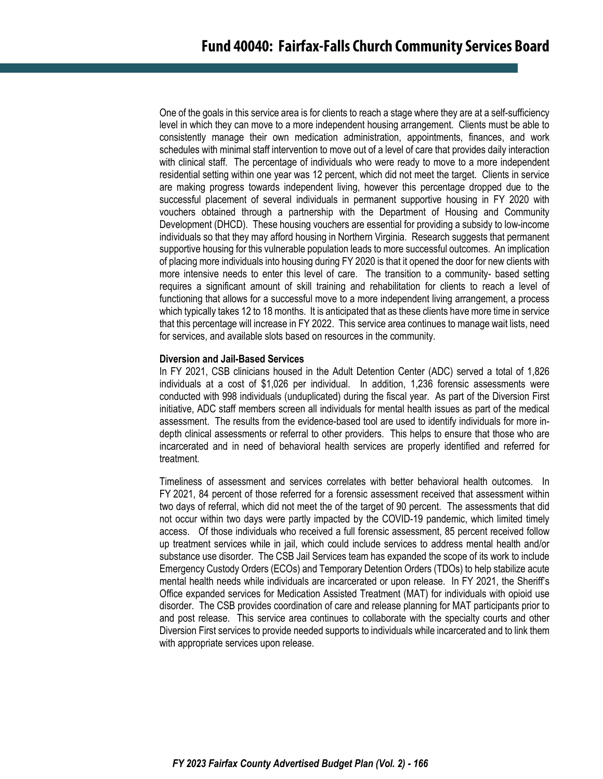One of the goals in this service area is for clients to reach a stage where they are at a self-sufficiency level in which they can move to a more independent housing arrangement. Clients must be able to consistently manage their own medication administration, appointments, finances, and work schedules with minimal staff intervention to move out of a level of care that provides daily interaction with clinical staff. The percentage of individuals who were ready to move to a more independent residential setting within one year was 12 percent, which did not meet the target. Clients in service are making progress towards independent living, however this percentage dropped due to the successful placement of several individuals in permanent supportive housing in FY 2020 with vouchers obtained through a partnership with the Department of Housing and Community Development (DHCD). These housing vouchers are essential for providing a subsidy to low-income individuals so that they may afford housing in Northern Virginia. Research suggests that permanent supportive housing for this vulnerable population leads to more successful outcomes. An implication of placing more individuals into housing during FY 2020 is that it opened the door for new clients with more intensive needs to enter this level of care. The transition to a community- based setting requires a significant amount of skill training and rehabilitation for clients to reach a level of functioning that allows for a successful move to a more independent living arrangement, a process which typically takes 12 to 18 months. It is anticipated that as these clients have more time in service that this percentage will increase in FY 2022. This service area continues to manage wait lists, need for services, and available slots based on resources in the community.

#### **Diversion and Jail-Based Services**

In FY 2021, CSB clinicians housed in the Adult Detention Center (ADC) served a total of 1,826 individuals at a cost of \$1,026 per individual. In addition, 1,236 forensic assessments were conducted with 998 individuals (unduplicated) during the fiscal year. As part of the Diversion First initiative, ADC staff members screen all individuals for mental health issues as part of the medical assessment. The results from the evidence-based tool are used to identify individuals for more indepth clinical assessments or referral to other providers. This helps to ensure that those who are incarcerated and in need of behavioral health services are properly identified and referred for treatment.

Timeliness of assessment and services correlates with better behavioral health outcomes. In FY 2021, 84 percent of those referred for a forensic assessment received that assessment within two days of referral, which did not meet the of the target of 90 percent. The assessments that did not occur within two days were partly impacted by the COVID-19 pandemic, which limited timely access. Of those individuals who received a full forensic assessment, 85 percent received follow up treatment services while in jail, which could include services to address mental health and/or substance use disorder. The CSB Jail Services team has expanded the scope of its work to include Emergency Custody Orders (ECOs) and Temporary Detention Orders (TDOs) to help stabilize acute mental health needs while individuals are incarcerated or upon release. In FY 2021, the Sheriff's Office expanded services for Medication Assisted Treatment (MAT) for individuals with opioid use disorder. The CSB provides coordination of care and release planning for MAT participants prior to and post release. This service area continues to collaborate with the specialty courts and other Diversion First services to provide needed supports to individuals while incarcerated and to link them with appropriate services upon release.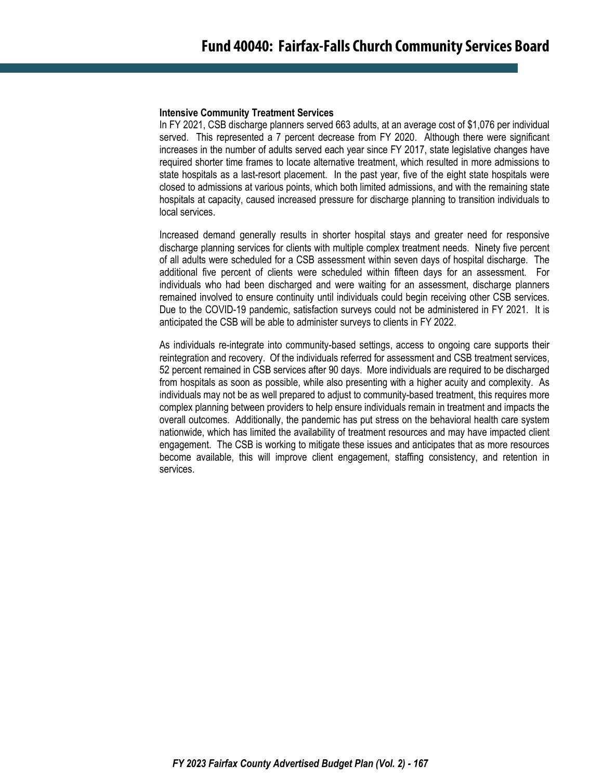#### **Intensive Community Treatment Services**

In FY 2021, CSB discharge planners served 663 adults, at an average cost of \$1,076 per individual served. This represented a 7 percent decrease from FY 2020. Although there were significant increases in the number of adults served each year since FY 2017, state legislative changes have required shorter time frames to locate alternative treatment, which resulted in more admissions to state hospitals as a last-resort placement. In the past year, five of the eight state hospitals were closed to admissions at various points, which both limited admissions, and with the remaining state hospitals at capacity, caused increased pressure for discharge planning to transition individuals to local services.

Increased demand generally results in shorter hospital stays and greater need for responsive discharge planning services for clients with multiple complex treatment needs. Ninety five percent of all adults were scheduled for a CSB assessment within seven days of hospital discharge. The additional five percent of clients were scheduled within fifteen days for an assessment. For individuals who had been discharged and were waiting for an assessment, discharge planners remained involved to ensure continuity until individuals could begin receiving other CSB services. Due to the COVID-19 pandemic, satisfaction surveys could not be administered in FY 2021. It is anticipated the CSB will be able to administer surveys to clients in FY 2022.

As individuals re-integrate into community-based settings, access to ongoing care supports their reintegration and recovery. Of the individuals referred for assessment and CSB treatment services, 52 percent remained in CSB services after 90 days. More individuals are required to be discharged from hospitals as soon as possible, while also presenting with a higher acuity and complexity. As individuals may not be as well prepared to adjust to community-based treatment, this requires more complex planning between providers to help ensure individuals remain in treatment and impacts the overall outcomes. Additionally, the pandemic has put stress on the behavioral health care system nationwide, which has limited the availability of treatment resources and may have impacted client engagement. The CSB is working to mitigate these issues and anticipates that as more resources become available, this will improve client engagement, staffing consistency, and retention in services.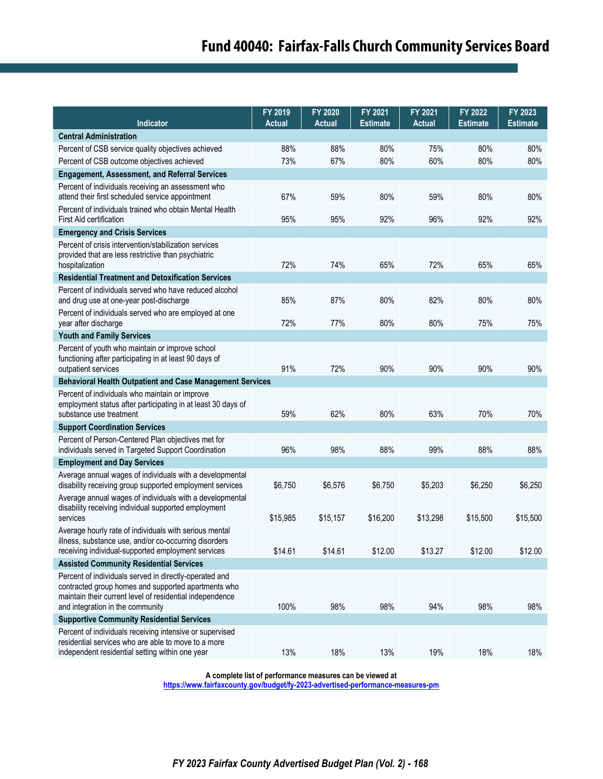| Indicator                                                                                                                                                                                                     | FY 2019<br><b>Actual</b> | FY 2020<br><b>Actual</b> | FY 2021<br><b>Estimate</b> | FY 2021<br><b>Actual</b> | FY 2022<br><b>Estimate</b> | FY 2023<br><b>Estimate</b> |  |
|---------------------------------------------------------------------------------------------------------------------------------------------------------------------------------------------------------------|--------------------------|--------------------------|----------------------------|--------------------------|----------------------------|----------------------------|--|
| <b>Central Administration</b>                                                                                                                                                                                 |                          |                          |                            |                          |                            |                            |  |
| Percent of CSB service quality objectives achieved                                                                                                                                                            | 88%                      | 88%                      | 80%                        | 75%                      | 80%                        | 80%                        |  |
| Percent of CSB outcome objectives achieved                                                                                                                                                                    | 73%                      | 67%                      | 80%                        | 60%                      | 80%                        | 80%                        |  |
| <b>Engagement, Assessment, and Referral Services</b>                                                                                                                                                          |                          |                          |                            |                          |                            |                            |  |
| Percent of individuals receiving an assessment who<br>attend their first scheduled service appointment                                                                                                        | 67%                      | 59%                      | 80%                        | 59%                      | 80%                        | 80%                        |  |
| Percent of individuals trained who obtain Mental Health<br>First Aid certification                                                                                                                            | 95%                      | 95%                      | 92%                        | 96%                      | 92%                        | 92%                        |  |
| <b>Emergency and Crisis Services</b>                                                                                                                                                                          |                          |                          |                            |                          |                            |                            |  |
| Percent of crisis intervention/stabilization services<br>provided that are less restrictive than psychiatric<br>hospitalization                                                                               | 72%                      | 74%                      | 65%                        | 72%                      | 65%                        | 65%                        |  |
| <b>Residential Treatment and Detoxification Services</b>                                                                                                                                                      |                          |                          |                            |                          |                            |                            |  |
| Percent of individuals served who have reduced alcohol<br>and drug use at one-year post-discharge                                                                                                             | 85%                      | 87%                      | 80%                        | 82%                      | 80%                        | 80%                        |  |
| Percent of individuals served who are employed at one<br>year after discharge                                                                                                                                 | 72%                      | 77%                      | 80%                        | 80%                      | 75%                        | 75%                        |  |
| <b>Youth and Family Services</b>                                                                                                                                                                              |                          |                          |                            |                          |                            |                            |  |
| Percent of youth who maintain or improve school<br>functioning after participating in at least 90 days of<br>outpatient services                                                                              | 91%                      | 72%                      | 90%                        | 90%                      | 90%                        | 90%                        |  |
| <b>Behavioral Health Outpatient and Case Management Services</b>                                                                                                                                              |                          |                          |                            |                          |                            |                            |  |
| Percent of individuals who maintain or improve<br>employment status after participating in at least 30 days of<br>substance use treatment                                                                     | 59%                      | 62%                      | 80%                        | 63%                      | 70%                        | 70%                        |  |
| <b>Support Coordination Services</b>                                                                                                                                                                          |                          |                          |                            |                          |                            |                            |  |
| Percent of Person-Centered Plan objectives met for<br>individuals served in Targeted Support Coordination                                                                                                     | 96%                      | 98%                      | 88%                        | 99%                      | 88%                        | 88%                        |  |
| <b>Employment and Day Services</b>                                                                                                                                                                            |                          |                          |                            |                          |                            |                            |  |
| Average annual wages of individuals with a developmental<br>disability receiving group supported employment services                                                                                          | \$6,750                  | \$6,576                  | \$6,750                    | \$5,203                  | \$6,250                    | \$6,250                    |  |
| Average annual wages of individuals with a developmental<br>disability receiving individual supported employment<br>services                                                                                  | \$15,985                 | \$15,157                 | \$16,200                   | \$13,298                 | \$15,500                   | \$15,500                   |  |
| Average hourly rate of individuals with serious mental<br>illness, substance use, and/or co-occurring disorders<br>receiving individual-supported employment services                                         | \$14.61                  | \$14.61                  | \$12.00                    | \$13.27                  | \$12.00                    | \$12.00                    |  |
| <b>Assisted Community Residential Services</b>                                                                                                                                                                |                          |                          |                            |                          |                            |                            |  |
| Percent of individuals served in directly-operated and<br>contracted group homes and supported apartments who<br>maintain their current level of residential independence<br>and integration in the community | 100%                     | 98%                      | 98%                        | 94%                      | 98%                        | 98%                        |  |
| <b>Supportive Community Residential Services</b>                                                                                                                                                              |                          |                          |                            |                          |                            |                            |  |
| Percent of individuals receiving intensive or supervised<br>residential services who are able to move to a more<br>independent residential setting within one year                                            | 13%                      | 18%                      | 13%                        | 19%                      | 18%                        | 18%                        |  |

**A complete list of performance measures can be viewed at**

**<https://www.fairfaxcounty.gov/budget/fy-2023-advertised-performance-measures-pm>**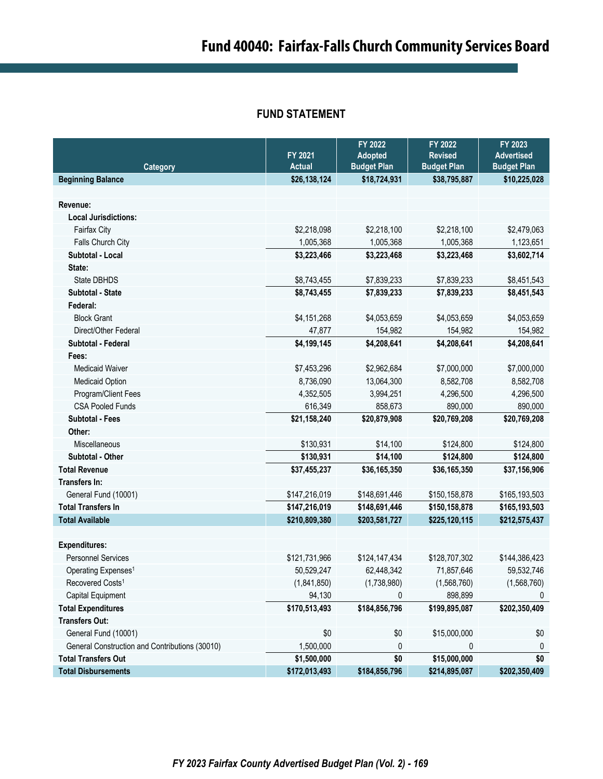## **FUND STATEMENT**

|                                                |                          | FY 2022                              | FY 2022                            | FY 2023                                 |
|------------------------------------------------|--------------------------|--------------------------------------|------------------------------------|-----------------------------------------|
|                                                | FY 2021<br><b>Actual</b> | <b>Adopted</b><br><b>Budget Plan</b> | <b>Revised</b>                     | <b>Advertised</b><br><b>Budget Plan</b> |
| <b>Category</b><br><b>Beginning Balance</b>    | \$26,138,124             | \$18,724,931                         | <b>Budget Plan</b><br>\$38,795,887 | \$10,225,028                            |
|                                                |                          |                                      |                                    |                                         |
| Revenue:                                       |                          |                                      |                                    |                                         |
| <b>Local Jurisdictions:</b>                    |                          |                                      |                                    |                                         |
| Fairfax City                                   | \$2,218,098              | \$2,218,100                          | \$2,218,100                        | \$2,479,063                             |
| Falls Church City                              | 1,005,368                | 1,005,368                            | 1,005,368                          | 1,123,651                               |
| Subtotal - Local                               | \$3,223,466              | \$3,223,468                          | \$3,223,468                        | \$3,602,714                             |
| State:                                         |                          |                                      |                                    |                                         |
| State DBHDS                                    | \$8,743,455              | \$7,839,233                          | \$7,839,233                        | \$8,451,543                             |
| <b>Subtotal - State</b>                        | \$8,743,455              | \$7,839,233                          | \$7,839,233                        | \$8,451,543                             |
| Federal:                                       |                          |                                      |                                    |                                         |
| <b>Block Grant</b>                             | \$4,151,268              | \$4,053,659                          | \$4,053,659                        | \$4,053,659                             |
| Direct/Other Federal                           | 47,877                   | 154,982                              | 154,982                            | 154,982                                 |
| Subtotal - Federal                             | \$4,199,145              | \$4,208,641                          | \$4,208,641                        | \$4,208,641                             |
| Fees:                                          |                          |                                      |                                    |                                         |
| <b>Medicaid Waiver</b>                         | \$7,453,296              | \$2,962,684                          | \$7,000,000                        | \$7,000,000                             |
| Medicaid Option                                | 8,736,090                | 13,064,300                           | 8,582,708                          | 8,582,708                               |
| Program/Client Fees                            | 4,352,505                | 3,994,251                            | 4,296,500                          | 4,296,500                               |
| <b>CSA Pooled Funds</b>                        | 616,349                  | 858,673                              | 890,000                            | 890,000                                 |
| <b>Subtotal - Fees</b>                         | \$21,158,240             | \$20,879,908                         | \$20,769,208                       | \$20,769,208                            |
| Other:                                         |                          |                                      |                                    |                                         |
| Miscellaneous                                  | \$130,931                | \$14,100                             | \$124,800                          | \$124,800                               |
| Subtotal - Other                               | \$130,931                | \$14,100                             | \$124,800                          | \$124,800                               |
| <b>Total Revenue</b>                           | \$37,455,237             | \$36,165,350                         | \$36,165,350                       | \$37,156,906                            |
| Transfers In:                                  |                          |                                      |                                    |                                         |
| General Fund (10001)                           | \$147,216,019            | \$148,691,446                        | \$150,158,878                      | \$165,193,503                           |
| <b>Total Transfers In</b>                      | \$147,216,019            | \$148,691,446                        | \$150,158,878                      | \$165,193,503                           |
| <b>Total Available</b>                         | \$210,809,380            | \$203,581,727                        | \$225,120,115                      | \$212,575,437                           |
|                                                |                          |                                      |                                    |                                         |
| <b>Expenditures:</b>                           |                          |                                      |                                    |                                         |
| <b>Personnel Services</b>                      | \$121,731,966            | \$124,147,434                        | \$128,707,302                      | \$144,386,423                           |
| Operating Expenses <sup>1</sup>                | 50,529,247               | 62,448,342                           | 71,857,646                         | 59,532,746                              |
| Recovered Costs <sup>1</sup>                   | (1,841,850)              | (1,738,980)                          | (1,568,760)                        | (1,568,760)                             |
| Capital Equipment                              | 94,130                   | 0                                    | 898,899                            | 0                                       |
| <b>Total Expenditures</b>                      | \$170,513,493            | \$184,856,796                        | \$199,895,087                      | \$202,350,409                           |
| <b>Transfers Out:</b>                          |                          |                                      |                                    |                                         |
| General Fund (10001)                           | \$0                      | \$0                                  | \$15,000,000                       | \$0                                     |
| General Construction and Contributions (30010) | 1,500,000                | 0                                    | 0                                  | 0                                       |
| <b>Total Transfers Out</b>                     | \$1,500,000              | \$0                                  | \$15,000,000                       | \$0                                     |
| <b>Total Disbursements</b>                     | \$172,013,493            | \$184,856,796                        | \$214,895,087                      | \$202,350,409                           |